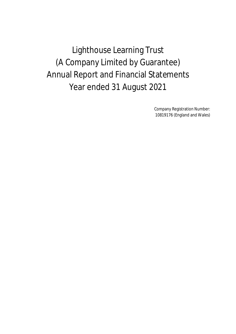Lighthouse Learning Trust (A Company Limited by Guarantee) Annual Report and Financial Statements Year ended 31 August 2021

> Company Registration Number: 10819176 (England and Wales)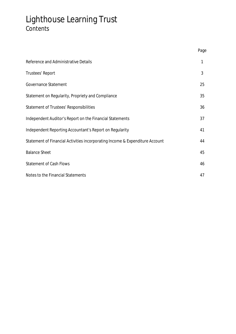# Lighthouse Learning Trust Contents

|                                                                              | Page |
|------------------------------------------------------------------------------|------|
| Reference and Administrative Details                                         | 1    |
| Trustees' Report                                                             | 3    |
| Governance Statement                                                         | 25   |
| Statement on Regularity, Propriety and Compliance                            | 35   |
| Statement of Trustees' Responsibilities                                      | 36   |
| Independent Auditor's Report on the Financial Statements                     | 37   |
| Independent Reporting Accountant's Report on Regularity                      | 41   |
| Statement of Financial Activities incorporating Income & Expenditure Account | 44   |
| <b>Balance Sheet</b>                                                         | 45   |
| <b>Statement of Cash Flows</b>                                               | 46   |
| Notes to the Financial Statements                                            | 47   |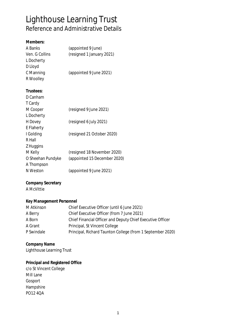# Lighthouse Learning Trust Reference and Administrative Details

| Members:                         |                                                            |
|----------------------------------|------------------------------------------------------------|
| A Banks                          | (appointed 9 June)                                         |
| Ven. G Collins                   | (resigned 1 January 2021)                                  |
| L Docherty                       |                                                            |
| D Lloyd                          |                                                            |
| C Manning                        | (appointed 9 June 2021)                                    |
| R Woolley                        |                                                            |
| Trustees:                        |                                                            |
| D Canham                         |                                                            |
| T Cardy                          |                                                            |
| M Cooper                         | (resigned 9 June 2021)                                     |
| L Docherty                       |                                                            |
| H Dovey                          | (resigned 6 July 2021)                                     |
| E Flaherty                       |                                                            |
| I Golding                        | (resigned 21 October 2020)                                 |
| R Hall                           |                                                            |
| Z Huggins                        |                                                            |
| M Kelly                          | (resigned 18 November 2020)                                |
| O Sheehan Pundyke                | (appointed 15 December 2020)                               |
| A Thompson                       |                                                            |
| N Weston                         | (appointed 9 June 2021)                                    |
| <b>Company Secretary</b>         |                                                            |
| A McVittie                       |                                                            |
| Key Management Personnel         |                                                            |
| M Atkinson                       | Chief Executive Officer (until 6 June 2021)                |
| A Berry                          | Chief Executive Officer (from 7 June 2021)                 |
| A Born                           | Chief Financial Officer and Deputy Chief Executive Officer |
| A Grant                          | Principal, St Vincent College                              |
| P Swindale                       | Principal, Richard Taunton College (from 1 September 2020) |
| <b>Company Name</b>              |                                                            |
| <b>Lighthouse Learning Trust</b> |                                                            |
| Principal and Registered Office  |                                                            |
| c/o St Vincent College           |                                                            |
| Mill Lane                        |                                                            |
| Gosport                          |                                                            |
| Hampshire                        |                                                            |
| PO12 4QA                         |                                                            |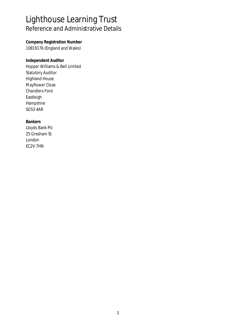### Lighthouse Learning Trust Reference and Administrative Details

**Company Registration Number** 10819176 (England and Wales)

**Independent Auditor** Hopper Williams & Bell Limited Statutory Auditor Highland House Mayflower Close Chandlers Ford Eastleigh Hampshire SO53 4AR

**Bankers** Lloyds Bank Plc 25 Gresham St London EC2V 7HN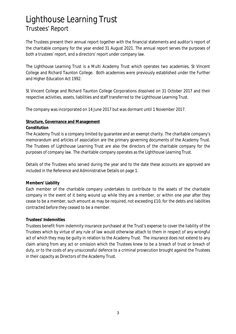The Trustees present their annual report together with the financial statements and auditor's report of the charitable company for the year ended 31 August 2021. The annual report serves the purposes of both a trustees' report, and a directors' report under company law.

The Lighthouse Learning Trust is a Multi Academy Trust which operates two academies, St Vincent College and Richard Taunton College. Both academies were previously established under the Further and Higher Education Act 1992.

St Vincent College and Richard Taunton College Corporations dissolved on 31 October 2017 and their respective activities, assets, liabilities and staff transferred to the Lighthouse Learning Trust.

The company was incorporated on 14 June 2017 but was dormant until 1 November 2017.

#### **Structure, Governance and Management**

#### **Constitution**

The Academy Trust is a company limited by guarantee and an exempt charity. The charitable company's memorandum and articles of association are the primary governing documents of the Academy Trust. The Trustees of Lighthouse Learning Trust are also the directors of the charitable company for the purposes of company law. The charitable company operates as the Lighthouse Learning Trust.

Details of the Trustees who served during the year and to the date these accounts are approved are included in the Reference and Administrative Details on page 1.

### **Members' Liability**

Each member of the charitable company undertakes to contribute to the assets of the charitable company in the event of it being wound up while they are a member, or within one year after they cease to be a member, such amount as may be required, not exceeding £10, for the debts and liabilities contracted before they ceased to be a member.

### **Trustees' Indemnities**

Trustees benefit from indemnity insurance purchased at the Trust's expense to cover the liability of the Trustees which by virtue of any rule of law would otherwise attach to them in respect of any wrongful act of which they may be guilty in relation to the Academy Trust. The insurance does not extend to any claim arising from any act or omission which the Trustees knew to be a breach of trust or breach of duty, or to the costs of any unsuccessful defence to a criminal prosecution brought against the Trustees in their capacity as Directors of the Academy Trust.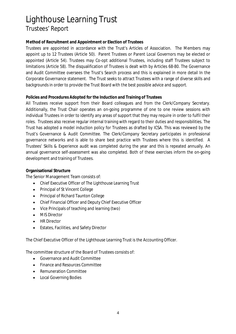### **Method of Recruitment and Appointment or Election of Trustees**

Trustees are appointed in accordance with the Trust's Articles of Association. The Members may appoint up to 12 Trustees (Article 50). Parent Trustees or Parent Local Governors may be elected or appointed (Article 54). Trustees may Co-opt additional Trustees, including staff Trustees subject to limitations (Article 58). The disqualification of Trustees is dealt with by Articles 68-80. The Governance and Audit Committee oversees the Trust's Search process and this is explained in more detail In the Corporate Governance statement. The Trust seeks to attract Trustees with a range of diverse skills and backgrounds in order to provide the Trust Board with the best possible advice and support.

### **Policies and Procedures Adopted for the Induction and Training of Trustees**

All Trustees receive support from their Board colleagues and from the Clerk/Company Secretary. Additionally, the Trust Chair operates an on-going programme of one to one review sessions with individual Trustees in order to identify any areas of support that they may require in order to fulfil their roles. Trustees also receive regular internal training with regard to their duties and responsibilities. The Trust has adopted a model induction policy for Trustees as drafted by ICSA. This was reviewed by the Trust's Governance & Audit Committee. The Clerk/Company Secretary participates in professional governance networks and is able to share best practice with Trustees where this is identified. A Trustees' Skills & Experience audit was completed during the year and this is repeated annually. An annual governance self-assessment was also completed. Both of these exercises inform the on-going development and training of Trustees.

### **Organisational Structure**

The Senior Management Team consists of:

- Chief Executive Officer of The Lighthouse Learning Trust
- Principal of St Vincent College
- Principal of Richard Taunton College
- Chief Financial Officer and Deputy Chief Executive Officer
- Vice Principals of teaching and learning (two)
- MIS Director  $\bullet$
- HR Director
- Estates, Facilities, and Safety Director  $\bullet$

The Chief Executive Officer of the Lighthouse Learning Trust is the Accounting Officer.

The committee structure of the Board of Trustees consists of:

- Governance and Audit Committee  $\bullet$
- Finance and Resources Committee  $\bullet$
- Remuneration Committee
- Local Governing Bodies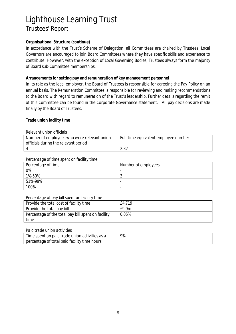#### **Organisational Structure (continue)**

In accordance with the Trust's Scheme of Delegation, all Committees are chaired by Trustees. Local Governors are encouraged to join Board Committees where they have specific skills and experience to contribute. However, with the exception of Local Governing Bodies, Trustees always form the majority of Board sub-Committee memberships.

#### **Arrangements for setting pay and remuneration of key management personnel**

In its role as the legal employer, the Board of Trustees is responsible for agreeing the Pay Policy on an annual basis. The Remuneration Committee is responsible for reviewing and making recommendations to the Board with regard to remuneration of the Trust's leadership. Further details regarding the remit of this Committee can be found in the Corporate Governance statement. All pay decisions are made finally by the Board of Trustees.

#### **Trade union facility time**

#### *Relevant union officials*

| Number of employees who were relevant union<br>officials during the relevant period | Full-time equivalent employee number |
|-------------------------------------------------------------------------------------|--------------------------------------|
|                                                                                     | റാറ<br>ے ں .ے                        |

#### *Percentage of time spent on facility time*

| Percentage of time | Number of employees      |
|--------------------|--------------------------|
| 0%                 | $\overline{\phantom{0}}$ |
| 1%-50%             | w                        |
| 51%-99%            | -                        |
| 100%               |                          |

#### *Percentage of pay bill spent on facility time*

| Provide the total cost of facility time            | £4.719 |
|----------------------------------------------------|--------|
| Provide the total pay bill                         | f9.9m  |
| Percentage of the total pay bill spent on facility | 0.05%  |
| time                                               |        |

#### *Paid trade union activities*

| Time spent on paid trade union activities as a | 9% |
|------------------------------------------------|----|
| percentage of total paid facility time hours   |    |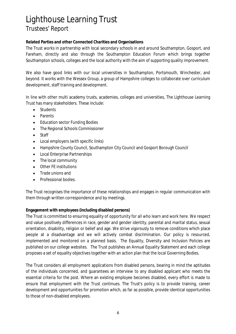### **Related Parties and other Connected Charities and Organisations**

The Trust works in partnership with local secondary schools in and around Southampton, Gosport, and Fareham, directly and also through the Southampton Education Forum which brings together Southampton schools, colleges and the local authority with the aim of supporting quality improvement.

We also have good links with our local universities in Southampton, Portsmouth, Winchester, and beyond. It works with the Wessex Group, a group of Hampshire colleges to collaborate over curriculum development, staff training and development.

In line with other multi academy trusts, academies, colleges and universities, The Lighthouse Learning Trust has many stakeholders. These include:

- $\bullet$ Students
- Parents
- Education sector Funding Bodies
- The Regional Schools Commissioner
- Staff
- Local employers (with specific links)  $\bullet$
- Hampshire County Council, Southampton City Council and Gosport Borough Council
- Local Enterprise Partnerships  $\bullet$
- The local community
- Other FE institutions
- Trade unions and
- Professional bodies.  $\bullet$

The Trust recognises the importance of these relationships and engages in regular communication with them through written correspondence and by meetings.

**Engagement with employees (including disabled persons)**

The Trust is committed to ensuring equality of opportunity for all who learn and work here. We respect and value positively differences in race, gender and gender identity, parental and marital status, sexual orientation, disability, religion or belief and age. We strive vigorously to remove conditions which place people at a disadvantage and we will actively combat discrimination. Our policy is resourced, implemented and monitored on a planned basis. The Equality, Diversity and Inclusion Policies are published on our college websites. The Trust publishes an Annual Equality Statement and each college proposes a set of equality objectives together with an action plan that the local Governing Bodies.

The Trust considers all employment applications from disabled persons, bearing in mind the aptitudes of the individuals concerned, and guarantees an interview to any disabled applicant who meets the essential criteria for the post. Where an existing employee becomes disabled, every effort is made to ensure that employment with the Trust continues. The Trust's policy is to provide training, career development and opportunities for promotion which, as far as possible, provide identical opportunities to those of non-disabled employees.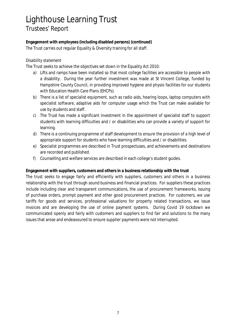**Engagement with employees (including disabled persons) (continued)** The Trust carries out regular Equality & Diversity training for all staff.

### *Disability statement*

The Trust seeks to achieve the objectives set down in the Equality Act 2010:

- a) Lifts and ramps have been installed so that most college facilities are accessible to people with a disability. During the year further investment was made at St Vincent College, funded by Hampshire County Council, in providing improved hygiene and physio facilities for our students with Education Health Care Plans (EHCPs).
- b) There is a list of specialist equipment, such as radio aids, hearing loops, laptop computers with specialist software, adaptive aids for computer usage which the Trust can make available for use by students and staff.
- c) The Trust has made a significant investment in the appointment of specialist staff to support students with learning difficulties and / or disabilities who can provide a variety of support for learning.
- d) There is a continuing programme of staff development to ensure the provision of a high level of appropriate support for students who have learning difficulties and / or disabilities.
- e) Specialist programmes are described in Trust prospectuses, and achievements and destinations are recorded and published.
- f) Counselling and welfare services are described in each college's student guides.

**Engagement with suppliers, customers and others in a business relationship with the trust**

The trust seeks to engage fairly and efficiently with suppliers, customers and others in a business relationship with the trust through sound business and financial practices. For suppliers these practices include including clear and transparent communications, the use of procurement frameworks, issuing of purchase orders, prompt payment and other good procurement practices. For customers, we use tariffs for goods and services, professional valuations for property related transactions, we issue invoices and are developing the use of online payment systems. During Covid 19 lockdown we communicated openly and fairly with customers and suppliers to find fair and solutions to the many issues that arose and endeavoured to ensure supplier payments were not interrupted.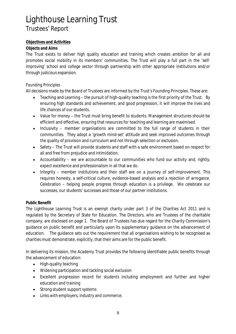### **Objectives and Activities**

### **Objects and Aims**

The Trust exists to deliver high quality education and training which creates ambition for all and promotes social mobility in its members' communities. The Trust will play a full part in the 'selfimproving' school and college sector through partnership with other appropriate institutions and/or through judicious expansion.

### *Founding Principles*

All decisions made by the Board of Trustees are informed by the Trust's Founding Principles. These are:

- Teaching and Learning the pursuit of high-quality teaching is the first priority of the Trust. By  $\bullet$ ensuring high standards and achievement, and good progression, it will improve the lives and life chances of our students.
- Value for money the Trust must bring benefit to students. Management structures should be efficient and effective, ensuring that resources for teaching and learning are maximised.
- Inclusivity member organisations are committed to the full range of students in their  $\bullet$ communities. They adopt a 'growth mind-set' attitude and seek improved outcomes through the quality of provision and curriculum and not through selection or exclusion.
- Safety The Trust will provide students and staff with a safe environment based on respect for  $\bullet$ all and free from prejudice and intimidation.
- Accountability we are accountable to our communities who fund our activity and, rightly, expect excellence and professionalism in all that we do.
- Integrity member institutions and their staff are on a journey of self-improvement. This  $\bullet$ requires honesty, a self-critical culture, evidence-based analysis and a rejection of arrogance. Celebration – helping people progress through education is a privilege. We celebrate our successes, our students' successes and those of our partner institutions.

### **Public Benefit**

The Lighthouse Learning Trust is an exempt charity under part 3 of the Charities Act 2011 and is regulated by the Secretary of State for Education. The Directors, who are Trustees of the charitable company, are disclosed on page 1. The Board of Trustees has due regard for the Charity Commission's guidance on public benefit and particularly upon its supplementary guidance on the advancement of education. The guidance sets out the requirement that all organisations wishing to be recognised as charities must demonstrate, explicitly, that their aims are for the public benefit.

In delivering its mission, the Academy Trust provides the following identifiable public benefits through the advancement of education:

- High-quality teaching  $\bullet$
- Widening participation and tackling social exclusion
- Excellent progression record for students including employment and further and higher education and training
- Strong student support systems
- Links with employers, industry and commerce.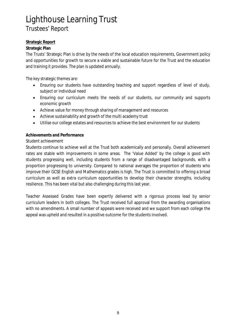### **Strategic Report**

### **Strategic Plan**

The Trusts' Strategic Plan is drive by the needs of the local education requirements, Government policy and opportunities for growth to secure a viable and sustainable future for the Trust and the education and training it provides. The plan is updated annually.

The key strategic themes are:

- Ensuring our students have outstanding teaching and support regardless of level of study,  $\bullet$ subject or individual need
- Ensuring our curriculum meets the needs of our students, our community and supports economic growth
- Achieve value for money through sharing of management and resources
- Achieve sustainability and growth of the multi academy trust
- Utilise our college estates and resources to achieve the best environment for our students  $\bullet$

### **Achievements and Performance**

### *Student achievement*

Students continue to achieve well at the Trust both academically and personally. Overall achievement rates are stable with improvements in some areas. The 'Value Added' by the college is good with students progressing well, including students from a range of disadvantaged backgrounds, with a proportion progressing to university. Compared to national averages the proportion of students who improve their GCSE English and Mathematics grades is high. The Trust is committed to offering a broad curriculum as well as extra curriculum opportunities to develop their character strengths, including resilience. This has been vital but also challenging during this last year.

Teacher Assessed Grades have been expertly delivered with a rigorous process lead by senior curriculum leaders in both colleges. The Trust received full approval from the awarding organisations with no amendments. A small number of appeals were received and we support from each college the appeal was upheld and resulted in a positive outcome for the students involved.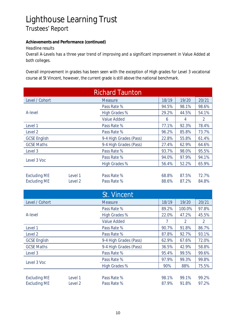**Achievements and Performance (continued)**

*Headline results*

Overall A-Levels has a three year trend of improving and a significant improvement in Value Added at both colleges.

Overall improvement in grades has been seen with the exception of High grades for Level 3 vocational course at St Vincent, however, the current grade is still above the national benchmark.

| <b>Richard Taunton</b>                     |                    |                            |                |                |                |
|--------------------------------------------|--------------------|----------------------------|----------------|----------------|----------------|
| Level / Cohort                             |                    | <b>Measure</b>             | 18/19          | 19/20          | 20/21          |
|                                            |                    | Pass Rate %                | 94.5%          | 98.1%          | 98.6%          |
| A-level                                    |                    | <b>High Grades %</b>       | 29.2%          | 44.5%          | 54.1%          |
|                                            |                    | <b>Value Added</b>         | 6              | $\overline{4}$ | $\overline{2}$ |
| Level 1                                    |                    | Pass Rate %                | 77.1%          | 92.3%          | 78.4%          |
| Level <sub>2</sub>                         |                    | Pass Rate %                | 96.2%          | 85.8%          | 73.7%          |
| <b>GCSE English</b>                        |                    | 9-4 High Grades (Pass)     | 22.8%          | 55.8%          | 61.4%          |
| <b>GCSE Maths</b>                          |                    | 9-4 High Grades (Pass)     | 27.4%          | 62.9%          | 64.6%          |
| Level 3                                    |                    | Pass Rate %                | 93.7%          | 98.0%          | 95.5%          |
| Level 3 Voc                                |                    | Pass Rate %                | 94.0%          | 97.9%          | 94.1%          |
|                                            |                    | <b>High Grades %</b>       | 56.4%          | 52.2%          | 65.9%          |
| <b>Excluding ME</b><br><b>Excluding ME</b> | Level 1<br>Level 2 | Pass Rate %<br>Pass Rate % | 68.8%<br>88.6% | 87.5%<br>87.2% | 72.7%<br>84.8% |
|                                            |                    | St. Vincent                |                |                |                |
| Level / Cohort                             |                    | <b>Measure</b>             | 18/19          | 19/20          | 20/21          |
|                                            |                    | Pass Rate %                | 89.2%          | 100.0%         | 97.8%          |
| A-level                                    |                    | <b>High Grades %</b>       | 22.0%          | 47.2%          | 45.5%          |
|                                            |                    | <b>Value Added</b>         | $\overline{7}$ | $\overline{2}$ | $\overline{2}$ |
| Level 1                                    |                    | Pass Rate %                | 90.7%          | 91.8%          | 86.7%          |
| Level <sub>2</sub>                         |                    | Pass Rate %                | 87.8%          | 92.7%          | 93.1%          |
| <b>GCSE English</b>                        |                    | 9-4 High Grades (Pass)     | 62.9%          | 67.6%          | 72.0%          |
| <b>GCSE Maths</b>                          |                    | 9-4 High Grades (Pass)     | 36.5%          | 42.9%          | 58.8%          |
| Level 3                                    |                    | Pass Rate %                | 95.4%          | 99.5%          | 99.6%          |
| Level 3 Voc                                |                    | Pass Rate %                | 97.9%          | 99.3%          | 99.8%          |
|                                            |                    | <b>High Grades %</b>       | 90%            | 88%            | 75.5%          |
|                                            |                    |                            |                |                |                |
| <b>Excluding ME</b>                        | Level 1            | Pass Rate %                | 98.1%          | 99.1%          | 99.2%          |
| <b>Excluding ME</b>                        | Level <sub>2</sub> | Pass Rate %                | 87.9%          | 91.8%          | 97.2%          |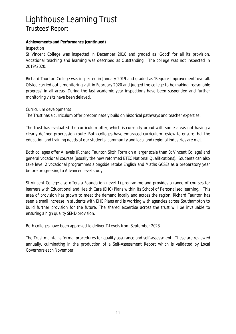**Achievements and Performance (continued)**

### *Inspection*

St Vincent College was inspected in December 2018 and graded as 'Good' for all its provision. Vocational teaching and learning was described as Outstanding. The college was not inspected in 2019/2020.

Richard Taunton College was inspected in January 2019 and graded as 'Require Improvement' overall. Ofsted carried out a monitoring visit in February 2020 and judged the college to be making 'reasonable progress' in all areas. During the last academic year inspections have been suspended and further monitoring visits have been delayed.

*Curriculum developments*

The Trust has a curriculum offer predominately build on historical pathways and teacher expertise.

The trust has evaluated the curriculum offer, which is currently broad with some areas not having a clearly defined progression route. Both colleges have embraced curriculum review to ensure that the education and training needs of our students, community and local and regional industries are met.

Both colleges offer A levels (Richard Taunton Sixth Form on a larger scale than St Vincent College) and general vocational courses (usually the new reformed BTEC National Qualifications). Students can also take level 2 vocational programmes alongside retake English and Maths GCSEs as a preparatory year before progressing to Advanced level study.

St Vincent College also offers a Foundation (level 1) programme and provides a range of courses for learners with Educational and Health Care (EHC) Plans within its School of Personalised learning. This area of provision has grown to meet the demand locally and across the region. Richard Taunton has seen a small increase in students with EHC Plans and is working with agencies across Southampton to build further provision for the future. The shared expertise across the trust will be invaluable to ensuring a high quality SEND provision.

Both colleges have been approved to deliver T-Levels from September 2023.

The Trust maintains formal procedures for quality assurance and self-assessment. These are reviewed annually, culminating in the production of a Self-Assessment Report which is validated by Local Governors each November.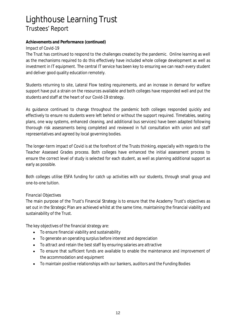### **Achievements and Performance (continued)**

*Impact of Covid-19*

The Trust has continued to respond to the challenges created by the pandemic. Online learning as well as the mechanisms required to do this effectively have included whole college development as well as investment in IT equipment. The central IT service has been key to ensuring we can reach every student and deliver good quality education remotely.

Students returning to site, Lateral Flow testing requirements, and an increase in demand for welfare support have put a strain on the resources available and both colleges have responded well and put the students and staff at the heart of our Covid-19 strategy.

As guidance continued to change throughout the pandemic both colleges responded quickly and effectively to ensure no students were left behind or without the support required. Timetables, seating plans, one way systems, enhanced cleaning, and additional bus services) have been adapted following thorough risk assessments being completed and reviewed in full consultation with union and staff representatives and agreed by local governing bodies.

The longer-term impact of Covid is at the forefront of the Trusts thinking, especially with regards to the Teacher Assessed Grades process. Both colleges have enhanced the initial assessment process to ensure the correct level of study is selected for each student, as well as planning additional support as early as possible.

Both colleges utilise ESFA funding for catch up activities with our students, through small group and one-to-one tuition.

### *Financial Objectives*

The main purpose of the Trust's Financial Strategy is to ensure that the Academy Trust's objectives as set out in the Strategic Plan are achieved whilst at the same time, maintaining the financial viability and sustainability of the Trust.

The key objectives of the financial strategy are:

- To ensure financial viability and sustainability  $\bullet$
- To generate an operating surplus before interest and depreciation  $\bullet$
- To attract and retain the best staff by ensuring salaries are attractive
- To ensure that sufficient funds are available to enable the maintenance and improvement of  $\bullet$ the accommodation and equipment
- To maintain positive relationships with our bankers, auditors and the Funding Bodies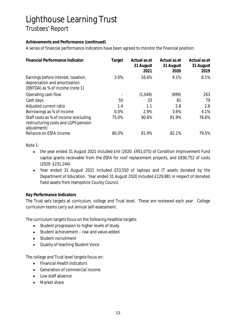### **Achievements and Performance (continued)**

A series of financial performance indicators have been agreed to monitor the financial position:

| Financial Performance Indicator                                                                          | Target | Actual as at<br>31 August<br>2021 | Actual as at<br>31 August<br>2020 | Actual as at<br>31 August<br>2019 |
|----------------------------------------------------------------------------------------------------------|--------|-----------------------------------|-----------------------------------|-----------------------------------|
| Earnings before interest, taxation,<br>depreciation and amortisation<br>(EBITDA) as % of income (note 1) | 3.0%   | $-16.6%$                          | 9.1%                              | 8.1%                              |
| Operating cash flow                                                                                      |        | (1,049)                           | (699)                             | 263                               |
| Cash days                                                                                                | 50     | 33                                | 81                                | 79                                |
| Adjusted current ratio                                                                                   | 1.4    | 1.1                               | 2.8                               | 2.6                               |
| Borrowings as % of income                                                                                | 0.0%   | 2.9%                              | 3.6%                              | 4.1%                              |
| Staff costs as % of income (excluding<br>restructuring costs and LGPS pension<br>adjustment)             | 75.0%  | 90.6%                             | 81.9%                             | 76.6%                             |
| Reliance on ESFA income                                                                                  | 80.0%  | 81.9%                             | 82.1%                             | 79.5%                             |

#### Note 1:

- the year ended 31 August 2021 included £nil (2020: £951,075) of Condition Improvement Fund  $\bullet$ capital grants receivable from the ESFA for roof replacement projects, and £836,752 of costs (2020: £231,244).
- Year ended 31 August 2021 included £53,550 of laptops and IT assets donated by the Department of Education. Year ended 31 August 2020 included £129,881 in respect of donated fixed assets from Hampshire County Council.

### **Key Performance Indicators**

The Trust sets targets at curriculum, college and Trust level. These are reviewed each year. College curriculum teams carry out annual self-assessment.

The curriculum targets focus on the following headline targets:

- Student progression to higher levels of study  $\bullet$
- Student achievement raw and value-added  $\bullet$
- Student recruitment
- Quality of teaching Student Voice

The college and Trust level targets focus on:

- Financial Health indicators  $\bullet$
- Generation of commercial income
- Low staff absence
- Market share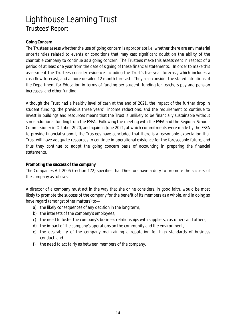### **Going Concern**

The Trustees assess whether the use of going concern is appropriate i.e. whether there are any material uncertainties related to events or conditions that may cast significant doubt on the ability of the charitable company to continue as a going concern. The Trustees make this assessment in respect of a period of at least one year from the date of signing of these financial statements. In order to make this assessment the Trustees consider evidence including the Trust's five year forecast, which includes a cash flow forecast, and a more detailed 12 month forecast. They also consider the stated intentions of the Department for Education in terms of funding per student, funding for teachers pay and pension increases, and other funding.

Although the Trust had a healthy level of cash at the end of 2021, the impact of the further drop in student funding, the previous three years' income reductions, and the requirement to continue to invest in buildings and resources means that the Trust is unlikely to be financially sustainable without some additional funding from the ESFA. Following the meeting with the ESFA and the Regional Schools Commissioner in October 2020, and again in June 2021, at which commitments were made by the ESFA to provide financial support, the Trustees have concluded that there is a reasonable expectation that Trust will have adequate resources to continue in operational existence for the foreseeable future, and thus they continue to adopt the going concern basis of accounting in preparing the financial statements.

### **Promoting the success of the company**

The Companies Act 2006 (section 172) specifies that Directors have a duty to promote the success of the company as follows:

A director of a company must act in the way that she or he considers, in good faith, would be most likely to promote the success of the company for the benefit of its members as a whole, and in doing so have regard (amongst other matters) to—

- a) the likely consequences of any decision in the long term,
- b) the interests of the company's employees,
- c) the need to foster the company's business relationships with suppliers, customers and others,
- d) the impact of the company's operations on the community and the environment,
- e) the desirability of the company maintaining a reputation for high standards of business conduct, and
- f) the need to act fairly as between members of the company.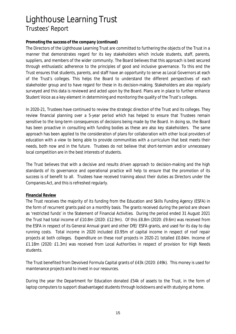#### **Promoting the success of the company (continued)**

The Directors of the Lighthouse Learning Trust are committed to furthering the objects of the Trust in a manner that demonstrates regard for its key stakeholders which include students, staff, parents, suppliers, and members of the wider community. The Board believes that this approach is best secured through enthusiastic adherence to the principles of good and inclusive governance. To this end the Trust ensures that students, parents, and staff have an opportunity to serve as Local Governors at each of the Trust's colleges. This helps the Board to understand the different perspectives of each stakeholder group and to have regard for these in its decision-making. Stakeholders are also regularly surveyed and this data is reviewed and acted upon by the Board. Plans are in place to further enhance Student Voice as a key element in determining and monitoring the quality of the Trust's colleges.

In 2020-21, Trustees have continued to review the strategic direction of the Trust and its colleges. They review financial planning over a 5-year period which has helped to ensure that Trustees remain sensitive to the long-term consequences of decisions being made by the Board. In doing so, the Board has been proactive in consulting with funding bodies as these are also key stakeholders. The same approach has been applied to the consideration of plans for collaboration with other local providers of education with a view to being able to provide communities with a curriculum that best meets their needs, both now and in the future. Trustees do not believe that short-termism and/or unnecessary local competition are in the best interests of students.

The Trust believes that with a decisive and results driven approach to decision-making and the high standards of its governance and operational practice will help to ensure that the promotion of its success is of benefit to all. Trustees have received training about their duties as Directors under the Companies Act, and this is refreshed regularly.

### **Financial Review**

The Trust receives the majority of its funding from the Education and Skills Funding Agency (ESFA) in the form of recurrent grants paid on a monthly basis. The grants received during the period are shown as 'restricted funds' in the Statement of Financial Activities. During the period ended 31 August 2021 the Trust had total income of £10.8m (2020: £12.9m). Of this £8.8m (2020: £9.6m) was received from the ESFA in respect of its General Annual grant and other DfE/ ESFA grants, and used for its day to day running costs. Total income in 2020 included £0.95m of capital income in respect of roof repair projects at both colleges. Expenditure on these roof projects in 2020-21 totalled £0.84m. Income of £1.18m (2020: £1.3m) was received from Local Authorities in respect of provision for High Needs students.

The Trust benefited from Devolved Formula Capital grants of £43k (2020: £49k). This money is used for maintenance projects and to invest in our resources.

During the year the Department for Education donated £54k of assets to the Trust, in the form of laptop computers to support disadvantaged students through lockdowns and with studying at home.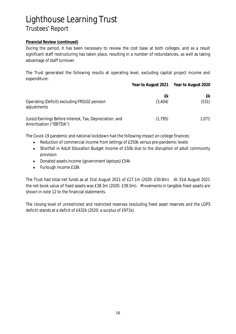#### **Financial Review (continued)**

During the period, it has been necessary to review the cost base at both colleges, and as a result significant staff restructuring has taken place, resulting in a number of redundancies, as well as taking advantage of staff turnover.

The Trust generated the following results at operating level, excluding capital project income and expenditure:

|                                                                                    |               | Year to August 2021 Year to August 2020 |
|------------------------------------------------------------------------------------|---------------|-----------------------------------------|
| Operating (Deficit) excluding FRS102 pension<br>adjustments                        | £k<br>(3,404) | £k<br>(531)                             |
| (Loss)/Earnings Before Interest, Tax, Depreciation, and<br>Amortisation ("EBITDA") | (1,795)       | 1,071                                   |

The Covid-19 pandemic and national lockdown had the following impact on college finances:

- Reduction of commercial income from lettings of £250k versus pre-pandemic levels  $\bullet$
- Shortfall in Adult Education Budget income of £50k due to the disruption of adult community  $\bullet$ provision
- Donated assets income (government laptops) £54k  $\bullet$
- Furlough income £18k  $\bullet$

The Trust had total net funds as at 31st August 2021 of £27.1m (2020: £30.8m). At 31st August 2021 the net book value of fixed assets was £38.3m (2020: £39.5m). Movements in tangible fixed assets are shown in note 12 to the financial statements.

The closing level of unrestricted and restricted reserves (excluding fixed asset reserves and the LGPS deficit) stands at a deficit of £432k (2020: a surplus of £971k).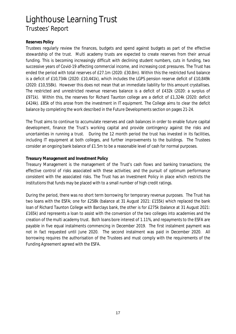#### **Reserves Policy**

Trustees regularly review the finances, budgets and spend against budgets as part of the effective stewardship of the trust. Multi academy trusts are expected to create reserves from their annual funding. This is becoming increasingly difficult with declining student numbers, cuts in funding, two successive years of Covid-19 affecting commercial income, and increasing cost pressures. The Trust has ended the period with total reserves of £27.1m (2020: £30.8m). Within this the restricted fund balance is a deficit of £10,734k (2020: £10,441k), which includes the LGPS pension reserve deficit of £10,849k (2020: £10,558k). However this does not mean that an immediate liability for this amount crystallises. The restricted and unrestricted revenue reserves balance is a deficit of £432k (2020: a surplus of £971k). Within this, the reserves for Richard Taunton college are a deficit of £1,324k (2020: deficit £424k). £85k of this arose from the investment in IT equipment. The College aims to clear the deficit balance by completing the work described in the Future Developments section on pages 21-24.

The Trust aims to continue to accumulate reserves and cash balances in order to enable future capital development, finance the Trust's working capital and provide contingency against the risks and uncertainties in running a trust. During the 12 month period the trust has invested in its facilities, including IT equipment at both colleges, and further improvements to the buildings. The Trustees consider an ongoing bank balance of £1.5m to be a reasonable level of cash for normal purposes.

### **Treasury Management and Investment Policy**

Treasury Management is the management of the Trust's cash flows and banking transactions; the effective control of risks associated with these activities; and the pursuit of optimum performance consistent with the associated risks. The Trust has an Investment Policy in place which restricts the institutions that funds may be placed with to a small number of high credit ratings.

During the period, there was no short term borrowing for temporary revenue purposes. The Trust has two loans with the ESFA; one for £258k (balance at 31 August 2021: £155k) which replaced the bank loan of Richard Taunton College with Barclays bank, the other is for £275k (balance at 31 August 2021: £165k) and represents a loan to assist with the conversion of the two colleges into academies and the creation of the multi academy trust. Both loans bore interest of 1.11%, and repayments to the ESFA are payable in five equal instalments commencing in December 2019. The first instalment payment was not in fact requested until June 2020. The second instalment was paid in December 2020. All borrowing requires the authorisation of the Trustees and must comply with the requirements of the Funding Agreement agreed with the ESFA.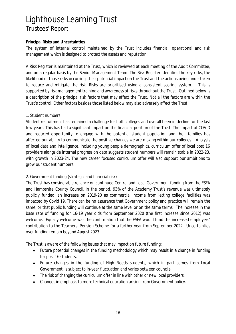#### **Principal Risks and Uncertainties**

The system of internal control maintained by the Trust includes financial, operational and risk management which is designed to protect the assets and reputation.

A Risk Register is maintained at the Trust, which is reviewed at each meeting of the Audit Committee, and on a regular basis by the Senior Management Team. The Risk Register identifies the key risks, the likelihood of those risks occurring, their potential impact on the Trust and the actions being undertaken to reduce and mitigate the risk. Risks are prioritised using a consistent scoring system. This is supported by risk management training and awareness of risks throughout the Trust. Outlined below is a description of the principal risk factors that may affect the Trust. Not all the factors are within the Trust's control. Other factors besides those listed below may also adversely affect the Trust.

### *1. Student numbers*

Student recruitment has remained a challenge for both colleges and overall been in decline for the last few years. This has had a significant impact on the financial position of the Trust. The impact of COVID and reduced opportunity to engage with the potential student population and their families has affected our ability to communicate the positive changes we are making within our colleges. Analysis of local data and intelligence, including young people demographics, curriculum offer of local post 16 providers alongside internal progression data suggests student numbers will remain stable in 2022-23, with growth in 2023-24. The new career focused curriculum offer will also support our ambitions to grow our student numbers.

### *2. Government funding (strategic and financial risk)*

The Trust has considerable reliance on continued Central and Local Government funding from the ESFA and Hampshire County Council. In the period, 93% of the Academy Trust's revenue was ultimately publicly funded, an increase on 2019-20 as commercial income from letting college facilities was impacted by Covid 19. There can be no assurance that Government policy and practice will remain the same, or that public funding will continue at the same level or on the same terms. The increase in the base rate of funding for 16-19 year olds from September 2020 (the first increase since 2012) was welcome. Equally welcome was the confirmation that the ESFA would fund the increased employers' contribution to the Teachers' Pension Scheme for a further year from September 2022. Uncertainties over funding remain beyond August 2023.

The Trust is aware of the following issues that may impact on future funding:

- Future potential changes in the funding methodology which may result in a change in funding  $\bullet$ for post 16 students.
- Future changes in the funding of High Needs students, which in part comes from Local Government, is subject to in-year fluctuation and varies between councils.
- The risk of changing the curriculum offer in line with other or new local providers.
- Changes in emphasis to more technical education arising from Government policy.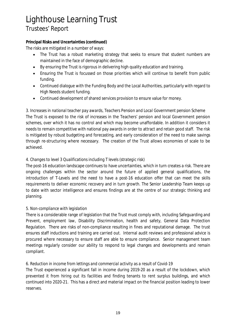**Principal Risks and Uncertainties (continued)** The risks are mitigated in a number of ways:

- The Trust has a robust marketing strategy that seeks to ensure that student numbers are  $\bullet$ maintained in the face of demographic decline.
- By ensuring the Trust is rigorous in delivering high quality education and training.
- Ensuring the Trust is focussed on those priorities which will continue to benefit from public  $\bullet$ funding.
- Continued dialogue with the Funding Body and the Local Authorities, particularly with regard to High Needs student funding.
- Continued development of shared services provision to ensure value for money.

*3. Increases in national teacher pay awards, Teachers Pension and Local Government pension Scheme* The Trust is exposed to the risk of increases in the Teachers' pension and local Government pension schemes, over which it has no control and which may become unaffordable. In addition it considers it needs to remain competitive with national pay awards in order to attract and retain good staff. The risk is mitigated by robust budgeting and forecasting, and early consideration of the need to make savings through re-structuring where necessary. The creation of the Trust allows economies of scale to be achieved.

### *4. Changes to level 3 Qualifications including T levels (strategic risk)*

The post-16 education landscape continues to have uncertainties, which in turn creates a risk. There are ongoing challenges within the sector around the future of applied general qualifications, the introduction of T-Levels and the need to have a post-16 education offer that can meet the skills requirements to deliver economic recovery and in turn growth. The Senior Leadership Team keeps up to date with sector intelligence and ensures findings are at the centre of our strategic thinking and planning.

### *5. Non-compliance with legislation*

There is a considerable range of legislation that the Trust must comply with, including Safeguarding and Prevent, employment law, Disability Discrimination, health and safety, General Data Protection Regulation. There are risks of non-compliance resulting in fines and reputational damage. The trust ensures staff inductions and training are carried out. Internal audit reviews and professional advice is procured where necessary to ensure staff are able to ensure compliance. Senior management team meetings regularly consider our ability to respond to legal changes and developments and remain compliant.

### *6. Reduction in income from lettings and commercial activity as a result of Covid-19*

The Trust experienced a significant fall in income during 2019-20 as a result of the lockdown, which prevented it from hiring out its facilities and finding tenants to rent surplus buildings, and which continued into 2020-21. This has a direct and material impact on the financial position leading to lower reserves.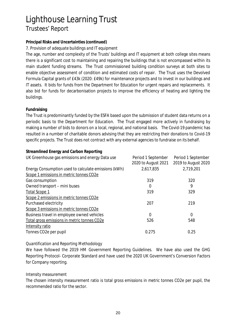### **Principal Risks and Uncertainties (continued)**

*7. Provision of adequate buildings and IT equipment*

The age, number and complexity of the Trusts' buildings and IT equipment at both college sites means there is a significant cost to maintaining and repairing the buildings that is not encompassed within its main student funding streams. The Trust commissioned building condition surveys at both sites to enable objective assessment of condition and estimated costs of repair. The Trust uses the Devolved Formula Capital grants of £43k (2020: £49k) for maintenance projects and to invest in our buildings and IT assets. It bids for funds from the Department for Education for urgent repairs and replacements. It also bid for funds for decarbonisation projects to improve the efficiency of heating and lighting the buildings.

### **Fundraising**

The Trust is predominantly funded by the ESFA based upon the submission of student data returns on a periodic basis to the Department for Education. The Trust engaged more actively in fundraising by making a number of bids to donors on a local, regional, and national basis. The Covid-19 pandemic has resulted in a number of charitable donors advising that they are restricting their donations to Covid-19 specific projects. The Trust does not contract with any external agencies to fundraise on its behalf.

**Streamlined Energy and Carbon Reporting** UK Greenhouse gas emissions and energy Data use Period 1 September 2020 to August 2021 Period 1 September 2019 to August 2020 Energy Consumption used to calculate emissions (kWh) 2,617,835 2,719,201 Scope 1 emissions in metric tonnes CO2e Gas consumption 319 320 Owned transport – mini buses 0 9 Total Scope 1 329 Scope 2 emissions in metric tonnes CO2e Purchased electricity 207 219 Scope 3 emissions in metric tonnes CO2e Business travel in employee owned vehicles 0 0 Total gross emissions in metric tonnes CO2e 526 548 Intensity ratio Tonnes CO2e per pupil and the contract of the contract of the contract of the contract of the contract of the contract of the contract of the contract of the contract of the contract of the contract of the contract of the

*Quantification and Reporting Methodology*

We have followed the 2019 HM Government Reporting Guidelines. We have also used the GHG Reporting Protocol- Corporate Standard and have used the 2020 UK Government's Conversion Factors for Company reporting.

### *Intensity measurement*

The chosen intensity measurement ratio is total gross emissions in metric tonnes CO2e per pupil, the recommended ratio for the sector.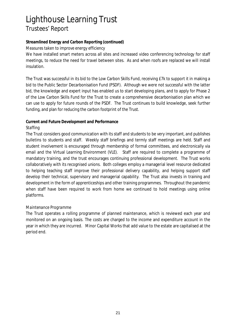**Streamlined Energy and Carbon Reporting (continued)**

*Measures taken to improve energy efficiency*

We have installed smart meters across all sites and increased video conferencing technology for staff meetings, to reduce the need for travel between sites. As and when roofs are replaced we will install insulation.

The Trust was successful in its bid to the Low Carbon Skills Fund, receiving £7k to support it in making a bid to the Public Sector Decarbonisation Fund (PSDF). Although we were not successful with the latter bid, the knowledge and expert input has enabled us to start developing plans, and to apply for Phase 2 of the Low Carbon Skills Fund for the Trust to create a comprehensive decarbonisation plan which we can use to apply for future rounds of the PSDF. The Trust continues to build knowledge, seek further funding, and plan for reducing the carbon footprint of the Trust.

### **Current and Future Development and Performance**

### *Staffing*

The Trust considers good communication with its staff and students to be very important, and publishes bulletins to students and staff. Weekly staff briefings and termly staff meetings are held. Staff and student involvement is encouraged through membership of formal committees, and electronically via email and the Virtual Learning Environment (VLE). Staff are required to complete a programme of mandatory training, and the trust encourages continuing professional development. The Trust works collaboratively with its recognised unions. Both colleges employ a managerial level resource dedicated to helping teaching staff improve their professional delivery capability, and helping support staff develop their technical, supervisory and managerial capability. The Trust also invests in training and development in the form of apprenticeships and other training programmes. Throughout the pandemic when staff have been required to work from home we continued to hold meetings using online platforms.

### *Maintenance Programme*

The Trust operates a rolling programme of planned maintenance, which is reviewed each year and monitored on an ongoing basis. The costs are charged to the income and expenditure account in the year in which they are incurred. Minor Capital Works that add value to the estate are capitalised at the period end.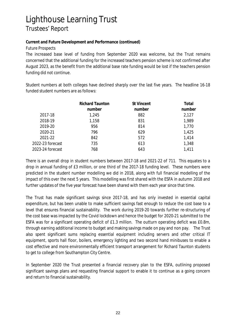**Current and Future Development and Performance (continued)** *Future Prospects*

The increased base level of funding from September 2020 was welcome, but the Trust remains concerned that the additional funding for the increased teachers pension scheme is not confirmed after August 2023, as the benefit from the additional base rate funding would be lost if the teachers pension funding did not continue.

Student numbers at both colleges have declined sharply over the last five years. The headline 16-18 funded student numbers are as follows:

|                  | <b>Richard Taunton</b> | <b>St Vincent</b> | Total  |
|------------------|------------------------|-------------------|--------|
|                  | number                 | number            | number |
| 2017-18          | 1,245                  | 882               | 2,127  |
| 2018-19          | 1,158                  | 831               | 1,989  |
| 2019-20          | 956                    | 814               | 1,770  |
| 2020-21          | 796                    | 629               | 1,425  |
| 2021-22          | 842                    | 572               | 1,414  |
| 2022-23 forecast | 735                    | 613               | 1,348  |
| 2023-24 forecast | 768                    | 643               | 1,411  |

There is an overall drop in student numbers between 2017-18 and 2021-22 of 711. This equates to a drop in annual funding of £3 million, or one third of the 2017-18 funding level. These numbers were predicted in the student number modelling we did in 2018, along with full financial modelling of the impact of this over the next 5 years. This modelling was first shared with the ESFA in autumn 2018 and further updates of the five year forecast have been shared with them each year since that time.

The Trust has made significant savings since 2017-18, and has only invested in essential capital expenditure, but has been unable to make sufficient savings fast enough to reduce the cost base to a level that ensures financial sustainability. The work during 2019-20 towards further re-structuring of the cost base was impacted by the Covid lockdown and hence the budget for 2020-21 submitted to the ESFA was for a significant operating deficit of £1.3 million. The outturn operating deficit was £0.8m, through earning additional income to budget and making savings made on pay and non pay. The Trust also spent significant sums replacing essential equipment including servers and other critical IT equipment, sports hall floor, boilers, emergency lighting and two second hand minibuses to enable a cost effective and more environmentally efficient transport arrangement for Richard Taunton students to get to college from Southampton City Centre.

In September 2020 the Trust presented a financial recovery plan to the ESFA, outlining proposed significant savings plans and requesting financial support to enable it to continue as a going concern and return to financial sustainability.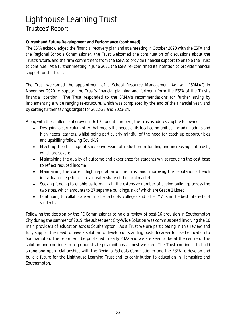### **Current and Future Development and Performance (continued)**

The ESFA acknowledged the financial recovery plan and at a meeting in October 2020 with the ESFA and the Regional Schools Commissioner, the Trust welcomed the continuation of discussions about the Trust's future, and the firm commitment from the ESFA to provide financial support to enable the Trust to continue. At a further meeting in June 2021 the ESFA re- confirmed its intention to provide financial support for the Trust.

The Trust welcomed the appointment of a School Resource Management Advisor ("SRMA") in November 2020 to support the Trust's financial planning and further inform the ESFA of the Trust's financial position. The Trust responded to the SRMA's recommendations for further saving by implementing a wide ranging re-structure, which was completed by the end of the financial year, and by setting further savings targets for 2022-23 and 2023-24.

Along with the challenge of growing 16-19 student numbers, the Trust is addressing the following:

- Designing a curriculum offer that meets the needs of its local communities, including adults and  $\bullet$ high needs learners, whilst being particularly mindful of the need for catch up opportunities and upskilling following Covid-19
- Meeting the challenge of successive years of reduction in funding and increasing staff costs,  $\bullet$ which are severe.
- Maintaining the quality of outcome and experience for students whilst reducing the cost base to reflect reduced income
- Maintaining the current high reputation of the Trust and improving the reputation of each  $\bullet$ individual college to secure a greater share of the local market.
- Seeking funding to enable us to maintain the extensive number of ageing buildings across the  $\bullet$ two sites, which amounts to 27 separate buildings, six of which are Grade 2 Listed
- Continuing to collaborate with other schools, colleges and other MATs in the best interests of  $\bullet$ students.

Following the decision by the FE Commissioner to hold a review of post-16 provision in Southampton City during the summer of 2019, the subsequent City-Wide Solution was commissioned involving the 10 main providers of education across Southampton. As a Trust we are participating in this review and fully support the need to have a solution to develop outstanding post-16 career focused education to Southampton. The report will be published in early 2022 and we are keen to be at the centre of the solution and continue to align our strategic ambitions as best we can. The Trust continues to build strong and open relationships with the Regional Schools Commissioner and the ESFA to develop and build a future for the Lighthouse Learning Trust and its contribution to education in Hampshire and Southampton.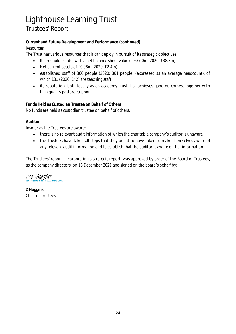**Current and Future Development and Performance (continued)** *Resources*

The Trust has various resources that it can deploy in pursuit of its strategic objectives:

- $\bullet$ Its freehold estate, with a net balance sheet value of £37.0m (2020: £38.3m)
- Net current assets of £0.98m (2020: £2.4m)  $\bullet$
- established staff of 360 people (2020: 381 people) (expressed as an average headcount), of which 131 (2020: 142) are teaching staff
- its reputation, both locally as an academy trust that achieves good outcomes, together with high quality pastoral support.

**Funds Held as Custodian Trustee on Behalf of Others** No funds are held as custodian trustee on behalf of others.

### **Auditor**

Insofar as the Trustees are aware:

- there is no relevant audit information of which the charitable company's auditor is unaware  $\bullet$
- $\bullet$ the Trustees have taken all steps that they ought to have taken to make themselves aware of any relevant audit information and to establish that the auditor is aware of that information.

The Trustees' report, incorporating a strategic report, was approved by order of the Board of Trustees, as the company directors, on 13 December 2021 and signed on the board's behalf by:

 $\frac{Z_0e}{Z_0}$  Huggins (Dec 14, 2021 16:45 GMT)

**Z Huggins** Chair of Trustees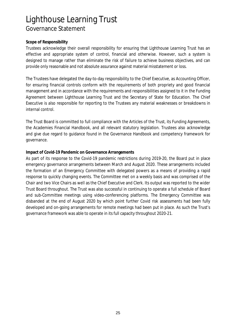### **Scope of Responsibility**

Trustees acknowledge their overall responsibility for ensuring that Lighthouse Learning Trust has an effective and appropriate system of control, financial and otherwise. However, such a system is designed to manage rather than eliminate the risk of failure to achieve business objectives, and can provide only reasonable and not absolute assurance against material misstatement or loss.

The Trustees have delegated the day-to-day responsibility to the Chief Executive, as Accounting Officer, for ensuring financial controls conform with the requirements of both propriety and good financial management and in accordance with the requirements and responsibilities assigned to it in the Funding Agreement between Lighthouse Learning Trust and the Secretary of State for Education. The Chief Executive is also responsible for reporting to the Trustees any material weaknesses or breakdowns in internal control.

The Trust Board is committed to full compliance with the Articles of the Trust, its Funding Agreements, the Academies Financial Handbook, and all relevant statutory legislation. Trustees also acknowledge and give due regard to guidance found in the Governance Handbook and competency framework for governance.

#### **Impact of Covid-19 Pandemic on Governance Arrangements**

As part of its response to the Covid-19 pandemic restrictions during 2019-20, the Board put in place emergency governance arrangements between March and August 2020. These arrangements included the formation of an Emergency Committee with delegated powers as a means of providing a rapid response to quickly changing events. The Committee met on a weekly basis and was comprised of the Chair and two Vice Chairs as well as the Chief Executive and Clerk. Its output was reported to the wider Trust Board throughout. The Trust was also successful in continuing to operate a full schedule of Board and sub-Committee meetings using video-conferencing platforms. The Emergency Committee was disbanded at the end of August 2020 by which point further Covid risk assessments had been fully developed and on-going arrangements for remote meetings had been put in place. As such the Trust's governance framework was able to operate in its full capacity throughout 2020-21.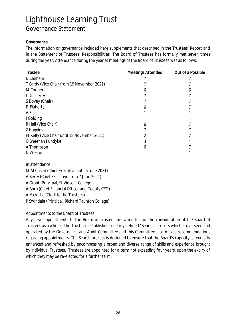#### **Governance**

The information on governance included here supplements that described in the Trustees' Report and in the Statement of Trustees' Responsibilities. The Board of Trustees has formally met seven times during the year. Attendance during the year at meetings of the Board of Trustees was as follows:

| Trustee                                     | Meetings Attended | Out of a Possible |
|---------------------------------------------|-------------------|-------------------|
| D Canham                                    |                   |                   |
| T Cardy (Vice Chair from 19 November 2021)  |                   |                   |
| M Cooper                                    | n                 | 6                 |
| L Docherty                                  |                   |                   |
| S Dovey (Chair)                             |                   |                   |
| E Flaherty                                  |                   |                   |
| A Foss                                      |                   |                   |
| I Golding                                   |                   |                   |
| R Hall (Vice Chair)                         | n                 |                   |
| Z Huggins                                   |                   |                   |
| M Kelly (Vice Chair until 18 November 2021) |                   |                   |
| O Sheehan Pundyke                           |                   |                   |
| A Thompson                                  |                   |                   |
| N Weston                                    |                   |                   |
|                                             |                   |                   |

In attendance:

M Atkinson (Chief Executive until 6 June 2021)

A Berry (Chief Executive from 7 June 2021)

A Grant (Principal, St Vincent College)

A Born (Chief Financial Officer and Deputy CEO)

A McVittie (Clerk to the Trustees)

P Swindale (Principal, Richard Taunton College)

### *Appointments to the Board of Trustees*

Any new appointments to the Board of Trustees are a matter for the consideration of the Board of Trustees as a whole. The Trust has established a clearly defined "Search" process which is overseen and operated by the Governance and Audit Committee and this Committee also makes recommendations regarding appointments. The Search process is designed to ensure that the Board's capacity is regularly enhanced and refreshed by encompassing a broad and diverse range of skills and experience brought by individual Trustees. Trustees are appointed for a term not exceeding four years, upon the expiry of which they may be re-elected for a further term.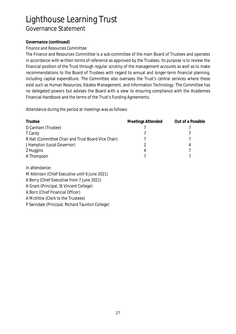### **Governance (continued)**

*Finance and Resources Committee*

The Finance and Resources Committee is a sub-committee of the main Board of Trustees and operates in accordance with written terms of reference as approved by the Trustees. Its purpose is to review the financial position of the Trust through regular scrutiny of the management accounts as well as to make recommendations to the Board of Trustees with regard to annual and longer-term financial planning, including capital expenditure. The Committee also oversees the Trust's central services where these exist such as Human Resources, Estates Management, and Information Technology. The Committee has no delegated powers but advises the Board with a view to ensuring compliance with the Academies Financial Handbook and the terms of the Trust's Funding Agreements.

Attendance during the period at meetings was as follows:

| Trustee                                             | Meetings Attended | Out of a Possible |
|-----------------------------------------------------|-------------------|-------------------|
| D Canham (Trustee)                                  |                   |                   |
| T Cardy                                             |                   |                   |
| R Hall (Committee Chair and Trust Board Vice Chair) |                   |                   |
| J Hampton (Local Governor)                          |                   | 4                 |
| Z Huggins                                           | 4                 |                   |
| A Thompson                                          |                   |                   |

In attendance:

M Atkinson (Chief Executive until 6 June 2021)

A Berry (Chief Executive from 7 June 2021)

A Grant (Principal, St Vincent College)

A Born (Chief Financial Officer)

A McVittie (Clerk to the Trustees)

P Swindale (Principal, Richard Taunton College)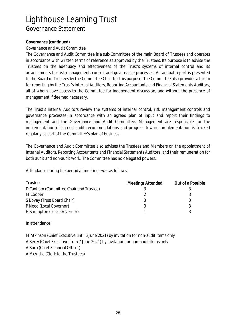#### **Governance (continued)**

*Governance and Audit Committee*

The Governance and Audit Committee is a sub-Committee of the main Board of Trustees and operates in accordance with written terms of reference as approved by the Trustees. Its purpose is to advise the Trustees on the adequacy and effectiveness of the Trust's systems of internal control and its arrangements for risk management, control and governance processes. An annual report is presented to the Board of Trustees by the Committee Chair for this purpose. The Committee also provides a forum for reporting by the Trust's Internal Auditors, Reporting Accountants and Financial Statements Auditors, all of whom have access to the Committee for independent discussion, and without the presence of management if deemed necessary.

The Trust's Internal Auditors review the systems of internal control, risk management controls and governance processes in accordance with an agreed plan of input and report their findings to management and the Governance and Audit Committee. Management are responsible for the implementation of agreed audit recommendations and progress towards implementation is tracked regularly as part of the Committee's plan of business.

The Governance and Audit Committee also advises the Trustees and Members on the appointment of Internal Auditors, Reporting Accountants and Financial Statements Auditors, and their remuneration for both audit and non-audit work. The Committee has no delegated powers.

Attendance during the period at meetings was as follows:

| Trustee                                | Meetings Attended | Out of a Possible |
|----------------------------------------|-------------------|-------------------|
| D Canham (Committee Chair and Trustee) |                   |                   |
| M Cooper                               |                   |                   |
| S Dovey (Trust Board Chair)            |                   |                   |
| P Need (Local Governor)                |                   |                   |
| H Shrimpton (Local Governor)           |                   |                   |

In attendance:

M Atkinson (Chief Executive until 6 June 2021) by invitation for non-audit items only A Berry (Chief Executive from 7 June 2021) by invitation for non-audit items only A Born (Chief Financial Officer) A McVittie (Clerk to the Trustees)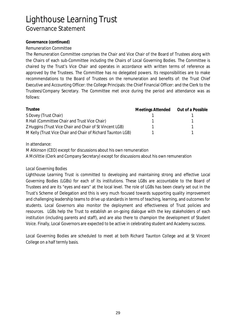### **Governance (continued)**

*Remuneration Committee*

The Remuneration Committee comprises the Chair and Vice Chair of the Board of Trustees along with the Chairs of each sub-Committee including the Chairs of Local Governing Bodies. The Committee is chaired by the Trust's Vice Chair and operates in accordance with written terms of reference as approved by the Trustees. The Committee has no delegated powers. Its responsibilities are to make recommendations to the Board of Trustees on the remuneration and benefits of: the Trust Chief Executive and Accounting Officer: the College Principals: the Chief Financial Officer: and the Clerk to the Trustees/Company Secretary. The Committee met once during the period and attendance was as follows:

| Trustee                                                     | Meetings Attended | Out of a Possible |
|-------------------------------------------------------------|-------------------|-------------------|
| S Dovey (Trust Chair)                                       |                   |                   |
| R Hall (Committee Chair and Trust Vice Chair)               |                   |                   |
| Z Huggins (Trust Vice Chair and Chair of St Vincent LGB)    |                   |                   |
| M Kelly (Trust Vice Chair and Chair of Richard Taunton LGB) |                   |                   |

In attendance:

M Atkinson (CEO) except for discussions about his own remuneration A McVittie (Clerk and Company Secretary) except for discussions about his own remuneration

### *Local Governing Bodies*

Lighthouse Learning Trust is committed to developing and maintaining strong and effective Local Governing Bodies (LGBs) for each of its institutions. These LGBs are accountable to the Board of Trustees and are its "eyes and ears" at the local level. The role of LGBs has been clearly set out in the Trust's Scheme of Delegation and this is very much focused towards supporting quality improvement and challenging leadership teams to drive up standards in terms of teaching, learning, and outcomes for students. Local Governors also monitor the deployment and effectiveness of Trust policies and resources. LGBs help the Trust to establish an on-going dialogue with the key stakeholders of each institution (including parents and staff), and are also there to champion the development of Student Voice. Finally, Local Governors are expected to be active in celebrating student and Academy success.

Local Governing Bodies are scheduled to meet at both Richard Taunton College and at St Vincent College on a half termly basis.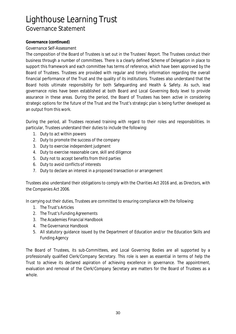### **Governance (continued)**

*Governance Self-Assessment*

The composition of the Board of Trustees is set out in the Trustees' Report. The Trustees conduct their business through a number of committees. There is a clearly defined Scheme of Delegation in place to support this framework and each committee has terms of reference, which have been approved by the Board of Trustees. Trustees are provided with regular and timely information regarding the overall financial performance of the Trust and the quality of its institutions. Trustees also understand that the Board holds ultimate responsibility for both Safeguarding and Health & Safety. As such, lead governance roles have been established at both Board and Local Governing Body level to provide assurance in these areas. During the period, the Board of Trustees has been active in considering strategic options for the future of the Trust and the Trust's strategic plan is being further developed as an output from this work.

During the period, all Trustees received training with regard to their roles and responsibilities. In particular, Trustees understand their duties to include the following:

- 1. Duty to act within powers
- 2. Duty to promote the success of the company
- 3. Duty to exercise independent judgment
- 4. Duty to exercise reasonable care, skill and diligence
- 5. Duty not to accept benefits from third parties
- 6. Duty to avoid conflicts of interests
- 7. Duty to declare an interest in a proposed transaction or arrangement

Trustees also understand their obligations to comply with the Charities Act 2016 and, as Directors, with the Companies Act 2006.

In carrying out their duties, Trustees are committed to ensuring compliance with the following:

- 1. The Trust's Articles
- 2. The Trust's Funding Agreements
- 3. The Academies Financial Handbook
- 4. The Governance Handbook
- 5. All statutory guidance issued by the Department of Education and/or the Education Skills and Funding Agency

The Board of Trustees, its sub-Committees, and Local Governing Bodies are all supported by a professionally qualified Clerk/Company Secretary. This role is seen as essential in terms of help the Trust to achieve its declared aspiration of achieving excellence in governance. The appointment, evaluation and removal of the Clerk/Company Secretary are matters for the Board of Trustees as a whole.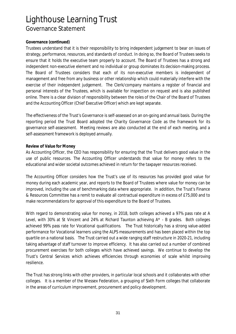#### **Governance (continued)**

Trustees understand that it is their responsibility to bring independent judgement to bear on issues of strategy, performance, resources, and standards of conduct. In doing so, the Board of Trustees seeks to ensure that it holds the executive team properly to account. The Board of Trustees has a strong and independent non-executive element and no individual or group dominates its decision-making process. The Board of Trustees considers that each of its non-executive members is independent of management and free from any business or other relationship which could materially interfere with the exercise of their independent judgement. The Clerk/company maintains a register of financial and personal interests of the Trustees, which is available for inspection on request and is also published online. There is a clear division of responsibility between the roles of the Chair of the Board of Trustees and the Accounting Officer (Chief Executive Officer) which are kept separate.

The effectiveness of the Trust's Governance is self-assessed on an on-going and annual basis. During the reporting period the Trust Board adopted the Charity Governance Code as the framework for its governance self-assessment. Meeting reviews are also conducted at the end of each meeting, and a self-assessment framework is deployed annually.

#### **Review of Value for Money**

As Accounting Officer, the CEO has responsibility for ensuring that the Trust delivers good value in the use of public resources. The Accounting Officer understands that value for money refers to the educational and wider societal outcomes achieved in return for the taxpayer resources received.

The Accounting Officer considers how the Trust's use of its resources has provided good value for money during each academic year, and reports to the Board of Trustees where value for money can be improved, including the use of benchmarking data where appropriate. In addition, the Trust's Finance & Resources Committee has a remit to evaluate all contractual expenditure in excess of £75,000 and to make recommendations for approval of this expenditure to the Board of Trustees.

With regard to demonstrating value for money, in 2018, both colleges achieved a 97% pass rate at A Level, with 30% at St Vincent and 24% at Richard Taunton achieving A\* - B grades. Both colleges achieved 99% pass rate for Vocational qualifications. The Trust historically has a strong value-added performance for Vocational learners using the ALPS measurements and has been placed within the top quartile on a national basis. The Trust carried out a wide ranging staff restructure in 2020-21, including taking advantage of staff turnover to improve efficiency. It has also carried out a number of combined procurement exercises for both colleges which have achieved savings. We continue to develop the Trust's Central Services which achieves efficiencies through economies of scale whilst improving resilience.

The Trust has strong links with other providers, in particular local schools and it collaborates with other colleges. It is a member of the Wessex Federation, a grouping of Sixth Form colleges that collaborate in the areas of curriculum improvement, procurement and policy development.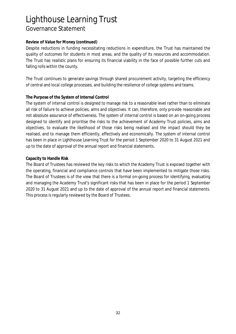### **Review of Value for Money (continued)**

Despite reductions in funding necessitating reductions in expenditure, the Trust has maintained the quality of outcomes for students in most areas, and the quality of its resources and accommodation. The Trust has realistic plans for ensuring its financial viability in the face of possible further cuts and falling rolls within the county.

The Trust continues to generate savings through shared procurement activity, targeting the efficiency of central and local college processes, and building the resilience of college systems and teams.

#### **The Purpose of the System of Internal Control**

The system of internal control is designed to manage risk to a reasonable level rather than to eliminate all risk of failure to achieve policies, aims and objectives. It can, therefore, only provide reasonable and not absolute assurance of effectiveness. The system of internal control is based on an on-going process designed to identify and prioritise the risks to the achievement of Academy Trust policies, aims and objectives, to evaluate the likelihood of those risks being realised and the impact should they be realised, and to manage them efficiently, effectively and economically. The system of internal control has been in place in Lighthouse Learning Trust for the period 1 September 2020 to 31 August 2021 and up to the date of approval of the annual report and financial statements.

#### **Capacity to Handle Risk**

The Board of Trustees has reviewed the key risks to which the Academy Trust is exposed together with the operating, financial and compliance controls that have been implemented to mitigate those risks. The Board of Trustees is of the view that there is a formal on-going process for identifying, evaluating and managing the Academy Trust's significant risks that has been in place for the period 1 September 2020 to 31 August 2021 and up to the date of approval of the annual report and financial statements. This process is regularly reviewed by the Board of Trustees.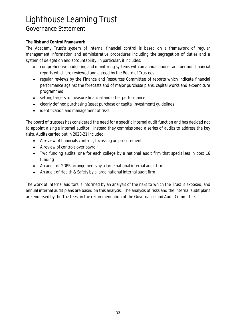### **The Risk and Control Framework**

The Academy Trust's system of internal financial control is based on a framework of regular management information and administrative procedures including the segregation of duties and a system of delegation and accountability. In particular, it includes:

- comprehensive budgeting and monitoring systems with an annual budget and periodic financial  $\bullet$ reports which are reviewed and agreed by the Board of Trustees
- regular reviews by the Finance and Resources Committee of reports which indicate financial  $\bullet$ performance against the forecasts and of major purchase plans, capital works and expenditure programmes
- setting targets to measure financial and other performance
- clearly defined purchasing (asset purchase or capital investment) guidelines
- identification and management of risks

The board of trustees has considered the need for a specific internal audit function and has decided not to appoint a single internal auditor. Instead they commissioned a series of audits to address the key risks. Audits carried out in 2020-21 included:

- A review of financials controls, focussing on procurement
- A review of controls over payroll  $\bullet$
- Two funding audits, one for each college by a national audit firm that specialises in post 16 funding
- An audit of GDPR arrangements by a large national internal audit firm
- An audit of Health & Safety by a large national internal audit firm  $\bullet$

The work of internal auditors is informed by an analysis of the risks to which the Trust is exposed, and annual internal audit plans are based on this analysis. The analysis of risks and the internal audit plans are endorsed by the Trustees on the recommendation of the Governance and Audit Committee.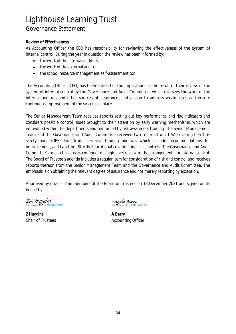### **Review of Effectiveness**

As Accounting Officer the CEO has responsibility for reviewing the effectiveness of the system of internal control. During the year in question the review has been informed by:

- $\bullet$ the work of the internal auditors
- the work of the external auditor
- the school resource management self-assessment tool  $\bullet$

The Accounting Officer (CEO) has been advised of the implications of the result of their review of the system of internal control by the Governance and Audit Committee, which oversees the work of the internal auditors and other sources of assurance, and a plan to address weaknesses and ensure continuous improvement of the systems in place.

The Senior Management Team receives reports setting out key performance and risk indicators and considers possible control issues brought to their attention by early warning mechanisms, which are embedded within the departments and reinforced by risk awareness training. The Senior Management Team and the Governance and Audit Committee received two reports from TIAA covering health & safety and GDPR, two from specialist funding auditors which include recommendations for improvement, and two from Strictly Educational covering financial controls. The Governance and Audit Committee's role in this area is confined to a high-level review of the arrangements for internal control. The Board of Trustee's agenda includes a regular item for consideration of risk and control and receives reports thereon from the Senior Management Team and the Governance and Audit Committee. The emphasis is on obtaining the relevant degree of assurance and not merely reporting by exception.

Approved by order of the members of the Board of Trustees on 13 December 2021 and signed on its behalf by:

<u>Zoe Huggins</u> 021 16:45 GMT)

**Z Huggins A Berry**

Angela Berry<br>Angela Berry (Dec 15, 2021 08:29 GMT)

Chair of Trustees **Accounting Officer** Accounting Officer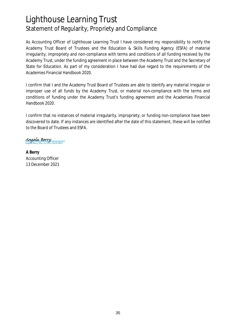### Lighthouse Learning Trust Statement of Regularity, Propriety and Compliance

As Accounting Officer of Lighthouse Learning Trust I have considered my responsibility to notify the Academy Trust Board of Trustees and the Education & Skills Funding Agency (ESFA) of material irregularity, impropriety and non-compliance with terms and conditions of all funding received by the Academy Trust, under the funding agreement in place between the Academy Trust and the Secretary of State for Education. As part of my consideration I have had due regard to the requirements of the Academies Financial Handbook 2020.

I confirm that I and the Academy Trust Board of Trustees are able to identify any material irregular or improper use of all funds by the Academy Trust, or material non-compliance with the terms and conditions of funding under the Academy Trust's funding agreement and the Academies Financial Handbook 2020.

I confirm that no instances of material irregularity, impropriety, or funding non-compliance have been discovered to date. If any instances are identified after the date of this statement, these will be notified to the Board of Trustees and ESFA.

Angela Berry<br>Angela Berry (Dec 15, 2021 08:29 GMT)

**A Berry** Accounting Officer 13 December 2021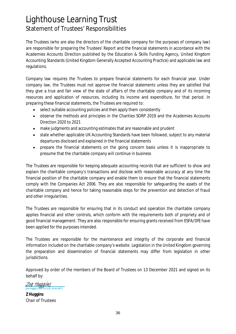### Lighthouse Learning Trust Statement of Trustees' Responsibilities

The Trustees (who are also the directors of the charitable company for the purposes of company law) are responsible for preparing the Trustees' Report and the financial statements in accordance with the Academies Accounts Direction published by the Education & Skills Funding Agency, United Kingdom Accounting Standards (United Kingdom Generally Accepted Accounting Practice) and applicable law and regulations.

Company law requires the Trustees to prepare financial statements for each financial year. Under company law, the Trustees must not approve the financial statements unless they are satisfied that they give a true and fair view of the state of affairs of the charitable company and of its incoming resources and application of resources, including its income and expenditure, for that period. In preparing these financial statements, the Trustees are required to:

- select suitable accounting policies and then apply them consistently  $\bullet$
- observe the methods and principles in the Charities SORP 2019 and the Academies Accounts  $\bullet$ Direction 2020 to 2021
- make judgments and accounting estimates that are reasonable and prudent
- state whether applicable UK Accounting Standards have been followed, subject to any material  $\bullet$ departures disclosed and explained in the financial statements
- prepare the financial statements on the going concern basis unless it is inappropriate to presume that the charitable company will continue in business

The Trustees are responsible for keeping adequate accounting records that are sufficient to show and explain the charitable company's transactions and disclose with reasonable accuracy at any time the financial position of the charitable company and enable them to ensure that the financial statements comply with the Companies Act 2006. They are also responsible for safeguarding the assets of the charitable company and hence for taking reasonable steps for the prevention and detection of fraud and other irregularities.

The Trustees are responsible for ensuring that in its conduct and operation the charitable company applies financial and other controls, which conform with the requirements both of propriety and of good financial management. They are also responsible for ensuring grants received from ESFA/DfE have been applied for the purposes intended.

The Trustees are responsible for the maintenance and integrity of the corporate and financial information included on the charitable company's website. Legislation in the United Kingdom governing the preparation and dissemination of financial statements may differ from legislation in other jurisdictions.

Approved by order of the members of the Board of Trustees on 13 December 2021 and signed on its behalf by:

Zoe Huggins  $.16:45$  GMT)

**Z Huggins** Chair of Trustees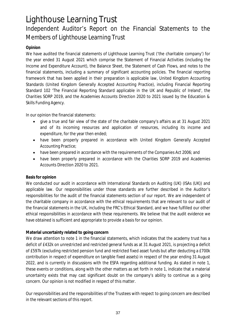### Independent Auditor's Report on the Financial Statements to the Members of Lighthouse Learning Trust

### **Opinion**

We have audited the financial statements of Lighthouse Learning Trust ('the charitable company') for the year ended 31 August 2021 which comprise the Statement of Financial Activities (including the Income and Expenditure Account), the Balance Sheet, the Statement of Cash Flows, and notes to the financial statements, including a summary of significant accounting policies. The financial reporting framework that has been applied in their preparation is applicable law, United Kingdom Accounting Standards (United Kingdom Generally Accepted Accounting Practice), including Financial Reporting Standard 102 'The Financial Reporting Standard applicable in the UK and Republic of Ireland', the Charities SORP 2019, and the Academies Accounts Direction 2020 to 2021 issued by the Education & Skills Funding Agency.

In our opinion the financial statements:

- give a true and fair view of the state of the charitable company's affairs as at 31 August 2021 and of its incoming resources and application of resources, including its income and expenditure, for the year then ended;
- have been properly prepared in accordance with United Kingdom Generally Accepted Accounting Practice;
- have been prepared in accordance with the requirements of the Companies Act 2006; and
- have been properly prepared in accordance with the Charities SORP 2019 and Academies  $\bullet$ Accounts Direction 2020 to 2021.

### **Basis for opinion**

We conducted our audit in accordance with International Standards on Auditing (UK) (ISAs (UK)) and applicable law. Our responsibilities under those standards are further described in the Auditor's responsibilities for the audit of the financial statements section of our report. We are independent of the charitable company in accordance with the ethical requirements that are relevant to our audit of the financial statements in the UK, including the FRC's Ethical Standard, and we have fulfilled our other ethical responsibilities in accordance with these requirements. We believe that the audit evidence we have obtained is sufficient and appropriate to provide a basis for our opinion.

### **Material uncertainty related to going concern**

We draw attention to note 1 in the financial statements, which indicates that the academy trust has a deficit of £432k on unrestricted and restricted general funds as at 31 August 2021, is projecting a deficit of £597k (excluding restricted pension fund and restricted fixed asset funds but after deducting a £700k contribution in respect of expenditure on tangible fixed assets) in respect of the year ending 31 August 2022, and is currently in discussions with the ESFA regarding additional funding. As stated in note 1, these events or conditions, along with the other matters as set forth in note 1, indicate that a material uncertainty exists that may cast significant doubt on the company's ability to continue as a going concern. Our opinion is not modified in respect of this matter.

Our responsibilities and the responsibilities of the Trustees with respect to going concern are described in the relevant sections of this report.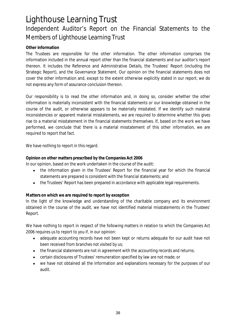### Lighthouse Learning Trust Independent Auditor's Report on the Financial Statements to the Members of Lighthouse Learning Trust

### **Other information**

The Trustees are responsible for the other information. The other information comprises the information included in the annual report other than the financial statements and our auditor's report thereon. It includes the Reference and Administrative Details, the Trustees' Report (including the Strategic Report), and the Governance Statement. Our opinion on the financial statements does not cover the other information and, except to the extent otherwise explicitly stated in our report, we do not express any form of assurance conclusion thereon.

Our responsibility is to read the other information and, in doing so, consider whether the other information is materially inconsistent with the financial statements or our knowledge obtained in the course of the audit, or otherwise appears to be materially misstated. If we identify such material inconsistencies or apparent material misstatements, we are required to determine whether this gives rise to a material misstatement in the financial statements themselves. If, based on the work we have performed, we conclude that there is a material misstatement of this other information, we are required to report that fact.

We have nothing to report in this regard.

**Opinion on other matters prescribed by the Companies Act 2006**

In our opinion, based on the work undertaken in the course of the audit:

- the information given in the Trustees' Report for the financial year for which the financial  $\bullet$ statements are prepared is consistent with the financial statements; and
- the Trustees' Report has been prepared in accordance with applicable legal requirements.

**Matters on which we are required to report by exception**

In the light of the knowledge and understanding of the charitable company and its environment obtained in the course of the audit, we have not identified material misstatements in the Trustees' Report.

We have nothing to report in respect of the following matters in relation to which the Companies Act 2006 requires us to report to you if, in our opinion:

- adequate accounting records have not been kept or returns adequate for our audit have not been received from branches not visited by us;
- the financial statements are not in agreement with the accounting records and returns;
- certain disclosures of Trustees' remuneration specified by law are not made; or
- we have not obtained all the information and explanations necessary for the purposes of our audit.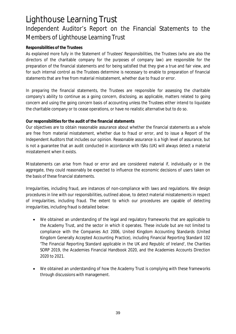### Lighthouse Learning Trust Independent Auditor's Report on the Financial Statements to the Members of Lighthouse Learning Trust

### **Responsibilities of the Trustees**

As explained more fully in the Statement of Trustees' Responsibilities, the Trustees (who are also the directors of the charitable company for the purposes of company law) are responsible for the preparation of the financial statements and for being satisfied that they give a true and fair view, and for such internal control as the Trustees determine is necessary to enable to preparation of financial statements that are free from material misstatement, whether due to fraud or error.

In preparing the financial statements, the Trustees are responsible for assessing the charitable company's ability to continue as a going concern, disclosing, as applicable, matters related to going concern and using the going concern basis of accounting unless the Trustees either intend to liquidate the charitable company or to cease operations, or have no realistic alternative but to do so.

**Our responsibilities for the audit of the financial statements**

Our objectives are to obtain reasonable assurance about whether the financial statements as a whole are free from material misstatement, whether due to fraud or error, and to issue a Report of the Independent Auditors that includes our opinion. Reasonable assurance is a high level of assurance, but is not a guarantee that an audit conducted in accordance with ISAs (UK) will always detect a material misstatement when it exists.

Misstatements can arise from fraud or error and are considered material if, individually or in the aggregate, they could reasonably be expected to influence the economic decisions of users taken on the basis of these financial statements.

Irregularities, including fraud, are instances of non-compliance with laws and regulations. We design procedures in line with our responsibilities, outlined above, to detect material misstatements in respect of irregularities, including fraud. The extent to which our procedures are capable of detecting irregularities, including fraud is detailed below:

- $\bullet$ We obtained an understanding of the legal and regulatory frameworks that are applicable to the Academy Trust, and the sector in which it operates. These include but are not limited to compliance with the Companies Act 2006, United Kingdom Accounting Standards (United Kingdom Generally Accepted Accounting Practice), including Financial Reporting Standard 102 'The Financial Reporting Standard applicable in the UK and Republic of Ireland', the Charities SORP 2019, the Academies Financial Handbook 2020, and the Academies Accounts Direction 2020 to 2021.
- We obtained an understanding of how the Academy Trust is complying with these frameworks  $\bullet$ through discussions with management.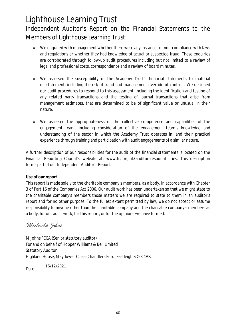### Lighthouse Learning Trust Independent Auditor's Report on the Financial Statements to the Members of Lighthouse Learning Trust

- We enquired with management whether there were any instances of non-compliance with laws  $\bullet$ and regulations or whether they had knowledge of actual or suspected fraud. These enquiries are corroborated through follow-up audit procedures including but not limited to a review of legal and professional costs, correspondence and a review of board minutes.
- We assessed the susceptibility of the Academy Trust's financial statements to material  $\bullet$ misstatement, including the risk of fraud and management override of controls. We designed our audit procedures to respond to this assessment, including the identification and testing of any related party transactions and the testing of journal transactions that arise from management estimates, that are determined to be of significant value or unusual in their nature.
- We assessed the appropriateness of the collective competence and capabilities of the  $\bullet$ engagement team, including consideration of the engagement team's knowledge and understanding of the sector in which the Academy Trust operates in, and their practical experience through training and participation with audit engagements of a similar nature.

A further description of our responsibilities for the audit of the financial statements is located on the Financial Reporting Council's website at: www.frc.org.uk/auditorsresponsibilities. This description forms part of our Independent Auditor's Report.

### **Use of our report**

This report is made solely to the charitable company's members, as a body, in accordance with Chapter 3 of Part 16 of the Companies Act 2006. Our audit work has been undertaken so that we might state to the charitable company's members those matters we are required to state to them in an auditor's report and for no other purpose. To the fullest extent permitted by law, we do not accept or assume responsibility to anyone other than the charitable company and the charitable company's members as a body, for our audit work, for this report, or for the opinions we have formed.

### Michaela Johns

M Johns FCCA (Senior statutory auditor) For and on behalf of Hopper Williams & Bell Limited Statutory Auditor Highland House, Mayflower Close, Chandlers Ford, Eastleigh SO53 4AR

Date ………………………………………………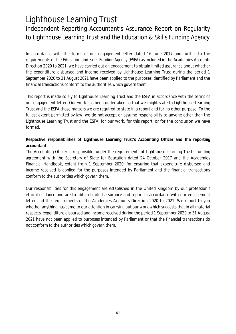Independent Reporting Accountant's Assurance Report on Regularity to Lighthouse Learning Trust and the Education & Skills Funding Agency

In accordance with the terms of our engagement letter dated 16 June 2017 and further to the requirements of the Education and Skills Funding Agency (ESFA) as included in the Academies Accounts Direction 2020 to 2021, we have carried out an engagement to obtain limited assurance about whether the expenditure disbursed and income received by Lighthouse Learning Trust during the period 1 September 2020 to 31 August 2021 have been applied to the purposes identified by Parliament and the financial transactions conform to the authorities which govern them.

This report is made solely to Lighthouse Learning Trust and the ESFA in accordance with the terms of our engagement letter. Our work has been undertaken so that we might state to Lighthouse Learning Trust and the ESFA those matters we are required to state in a report and for no other purpose. To the fullest extent permitted by law, we do not accept or assume responsibility to anyone other than the Lighthouse Learning Trust and the ESFA, for our work, for this report, or for the conclusion we have formed.

**Respective responsibilities of Lighthouse Learning Trust's Accounting Officer and the reporting accountant**

The Accounting Officer is responsible, under the requirements of Lighthouse Learning Trust's funding agreement with the Secretary of State for Education dated 24 October 2017 and the Academies Financial Handbook, extant from 1 September 2020, for ensuring that expenditure disbursed and income received is applied for the purposes intended by Parliament and the financial transactions conform to the authorities which govern them.

Our responsibilities for this engagement are established in the United Kingdom by our profession's ethical guidance and are to obtain limited assurance and report in accordance with our engagement letter and the requirements of the Academies Accounts Direction 2020 to 2021. We report to you whether anything has come to our attention in carrying out our work which suggests that in all material respects, expenditure disbursed and income received during the period 1 September 2020 to 31 August 2021 have not been applied to purposes intended by Parliament or that the financial transactions do not conform to the authorities which govern them.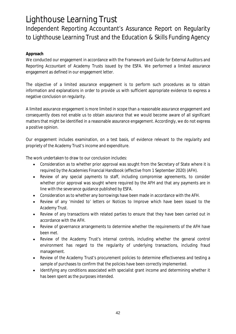Independent Reporting Accountant's Assurance Report on Regularity to Lighthouse Learning Trust and the Education & Skills Funding Agency

### **Approach**

We conducted our engagement in accordance with the Framework and Guide for External Auditors and Reporting Accountant of Academy Trusts issued by the ESFA. We performed a limited assurance engagement as defined in our engagement letter.

The objective of a limited assurance engagement is to perform such procedures as to obtain information and explanations in order to provide us with sufficient appropriate evidence to express a negative conclusion on regularity.

A limited assurance engagement is more limited in scope than a reasonable assurance engagement and consequently does not enable us to obtain assurance that we would become aware of all significant matters that might be identified in a reasonable assurance engagement. Accordingly, we do not express a positive opinion.

Our engagement includes examination, on a test basis, of evidence relevant to the regularity and propriety of the Academy Trust's income and expenditure.

The work undertaken to draw to our conclusion includes:

- Consideration as to whether prior approval was sought from the Secretary of State where it is required by the Academies Financial Handbook (effective from 1 September 2020) (AFH).
- Review of any special payments to staff, including compromise agreements, to consider whether prior approval was sought where required by the AFH and that any payments are in line with the severance guidance published by ESFA.
- Consideration as to whether any borrowings have been made in accordance with the AFH.  $\bullet$
- Review of any 'minded to' letters or Notices to Improve which have been issued to the  $\bullet$ Academy Trust.
- Review of any transactions with related parties to ensure that they have been carried out in accordance with the AFH.
- Review of governance arrangements to determine whether the requirements of the AFH have  $\bullet$ been met.
- Review of the Academy Trust's internal controls, including whether the general control environment has regard to the regularity of underlying transactions, including fraud management.
- Review of the Academy Trust's procurement policies to determine effectiveness and testing a sample of purchases to confirm that the policies have been correctly implemented.
- Identifying any conditions associated with specialist grant income and determining whether it  $\bullet$ has been spent as the purposes intended.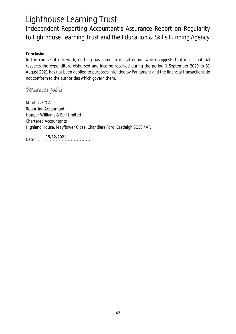Independent Reporting Accountant's Assurance Report on Regularity to Lighthouse Learning Trust and the Education & Skills Funding Agency

**Conclusion**

In the course of our work, nothing has come to our attention which suggests that in all material respects the expenditure disbursed and income received during the period 1 September 2020 to 31 August 2021 has not been applied to purposes intended by Parliament and the financial transactions do not conform to the authorities which govern them.

### Michaela Johns

M Johns FCCA Reporting Accountant Hopper Williams & Bell Limited Chartered Accountants Highland House, Mayflower Close, Chandlers Ford, Eastleigh SO53 4AR

Date ………………………………………………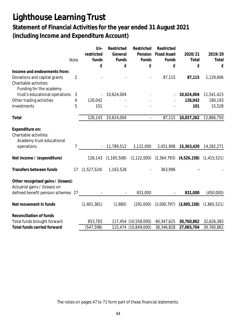### **Statement of Financial Activities for the year ended 31 August 2021 (including Income and Expenditure Account)**

|                                    |                | Un-                                                                 | Restricted    | Restricted               | Restricted         |                             |               |
|------------------------------------|----------------|---------------------------------------------------------------------|---------------|--------------------------|--------------------|-----------------------------|---------------|
|                                    |                | restricted                                                          | General       | Pension                  | <b>Fixed Asset</b> | 2020/21                     | 2019/20       |
|                                    | <b>Note</b>    | funds                                                               | Funds         | Funds                    | Funds              | Total                       | Total         |
|                                    |                | £                                                                   | ${\bf f}$     | $\mathbf f$              | £                  | £                           | f             |
| Income and endowments from:        |                |                                                                     |               |                          |                    |                             |               |
| Donations and capital grants       | $\overline{2}$ |                                                                     |               | $\overline{\phantom{a}}$ | 87,115             | 87,115                      | 1,129,606     |
| Charitable activities:             |                |                                                                     |               |                          |                    |                             |               |
| Funding for the academy            |                |                                                                     |               |                          |                    |                             |               |
| trust's educational operations     | 3              |                                                                     | 10,624,004    |                          |                    | 10,624,004                  | 11,541,423    |
| Other trading activities           | 4              | 126,042                                                             |               |                          |                    | 126,042                     | 180,193       |
| Investments                        | 5              | 101                                                                 |               |                          |                    | 101                         | 15,528        |
|                                    |                |                                                                     |               |                          |                    |                             |               |
| Total                              |                | 126,143                                                             | 10,624,004    | $\blacksquare$           | 87,115             | 10,837,262                  | 12,866,750    |
|                                    |                |                                                                     |               |                          |                    |                             |               |
| Expenditure on:                    |                |                                                                     |               |                          |                    |                             |               |
| Charitable activities:             |                |                                                                     |               |                          |                    |                             |               |
| Academy trust educational          |                |                                                                     |               |                          |                    |                             |               |
| operations                         | 7              |                                                                     | 11,789,512    | 1,122,000                | 2,451,908          | 15,363,420                  | 14,282,271    |
|                                    |                |                                                                     |               |                          |                    |                             |               |
| Net income / (expenditure)         |                | 126,143                                                             | (1, 165, 508) | (1, 122, 000)            |                    | $(2,364,793)$ $(4,526,158)$ | (1, 415, 521) |
|                                    |                |                                                                     |               |                          |                    |                             |               |
| Transfers between funds            | 17             | (1,527,524)                                                         | 1,163,528     | $\overline{\phantom{a}}$ | 363,996            |                             |               |
|                                    |                |                                                                     |               |                          |                    |                             |               |
| Other recognised gains / (losses): |                |                                                                     |               |                          |                    |                             |               |
| Actuarial gains / (losses) on      |                |                                                                     |               |                          |                    |                             |               |
| defined benefit pension schemes 27 |                | $\mathcal{L}^{\mathcal{L}}(\mathcal{L}^{\mathcal{L}}(\mathcal{L}))$ |               | 831,000                  |                    | 831,000                     | (450,000)     |
| Net movement in funds              |                | (1,401,381)                                                         | (1,980)       | (291,000)                | (2,000,797)        | (3,695,158)                 | (1,865,521)   |
|                                    |                |                                                                     |               |                          |                    |                             |               |
| Reconciliation of funds            |                |                                                                     |               |                          |                    |                             |               |
| Total funds brought forward        |                | 853,783                                                             |               | 117,454 (10,558,000)     | 40,347,625         | 30,760,862                  | 32,626,383    |
| <b>Total funds carried forward</b> |                | (547, 598)                                                          |               | 115,474 (10,849,000)     | 38,346,828         | 27,065,704                  | 30,760,862    |

The notes on pages 47 to 71 form part of these financial statements.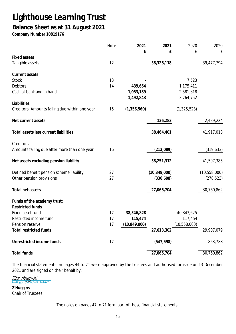### **Balance Sheet as at 31 August 2021**

**Company Number 10819176**

|                                                | <b>Note</b> | 2021           | 2021           | 2020           | 2020         |
|------------------------------------------------|-------------|----------------|----------------|----------------|--------------|
| <b>Fixed assets</b>                            |             | £              | £              | £              | £            |
| Tangible assets                                | 12          |                | 38,328,118     |                | 39,477,794   |
| Current assets                                 |             |                |                |                |              |
| Stock                                          | 13          |                |                | 7,523          |              |
| <b>Debtors</b>                                 | 14          | 439,654        |                | 1,175,411      |              |
| Cash at bank and in hand                       |             | 1,053,189      |                | 2,581,818      |              |
|                                                |             | 1,492,843      |                | 3,764,752      |              |
| Liabilities                                    |             |                |                |                |              |
| Creditors: Amounts falling due within one year | 15          | (1, 356, 560)  |                | (1, 325, 528)  |              |
| Net current assets                             |             |                | 136,283        |                | 2,439,224    |
| Total assets less current liabilities          |             |                | 38,464,401     |                | 41,917,018   |
| Creditors:                                     |             |                |                |                |              |
| Amounts falling due after more than one year   | 16          |                | (213,089)      |                | (319, 633)   |
| Net assets excluding pension liability         |             |                | 38,251,312     |                | 41,597,385   |
| Defined benefit pension scheme liability       | 27          |                | (10, 849, 000) |                | (10,558,000) |
| Other pension provisions                       | 27          |                | (336, 608)     |                | (278, 523)   |
| Total net assets                               |             |                | 27,065,704     |                | 30,760,862   |
| Funds of the academy trust:                    |             |                |                |                |              |
| <b>Restricted funds</b>                        |             |                |                |                |              |
| Fixed asset fund                               | 17          | 38,346,828     |                | 40,347,625     |              |
| Restricted income fund                         | 17          | 115,474        |                | 117,454        |              |
| Pension reserve                                | 17          | (10, 849, 000) |                | (10, 558, 000) |              |
| <b>Total restricted funds</b>                  |             |                | 27,613,302     |                | 29,907,079   |
| Unrestricted income funds                      | 17          |                | (547, 598)     |                | 853,783      |
| Total funds                                    |             |                | 27,065,704     |                | 30,760,862   |

The financial statements on pages 44 to 71 were approved by the trustees and authorised for issue on 13 December 2021 and are signed on their behalf by:

 $\frac{\text{Zo}e \text{ Huggins}}{\text{Zo}e \text{ Huggins (Dec 14, 2021 16:45 GMT)}}$ 

**Z Huggins** Chair of Trustees

The notes on pages 47 to 71 form part of these financial statements.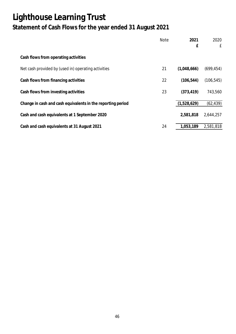## **Lighthouse Learning Trust Statement of Cash Flows for the year ended 31 August 2021**

|                                                             | <b>Note</b> | 2021<br>£   | 2020<br>$\mathbf{f}$ |
|-------------------------------------------------------------|-------------|-------------|----------------------|
| Cash flows from operating activities                        |             |             |                      |
| Net cash provided by (used in) operating activities         | 21          | (1,048,666) | (699, 454)           |
| Cash flows from financing activities                        | 22          | (106, 544)  | (106, 545)           |
| Cash flows from investing activities                        | 23          | (373, 419)  | 743,560              |
| Change in cash and cash equivalents in the reporting period |             | (1,528,629) | (62, 439)            |
| Cash and cash equivalents at 1 September 2020               |             | 2,581,818   | 2,644,257            |
| Cash and cash equivalents at 31 August 2021                 | 24          | 1,053,189   | 2,581,818            |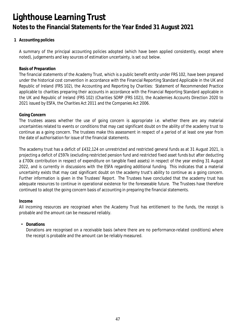**1 Accounting policies**

A summary of the principal accounting policies adopted (which have been applied consistently, except where noted), judgements and key sources of estimation uncertainty, is set out below.

#### **Basis of Preparation**

The financial statements of the Academy Trust, which is a public benefit entity under FRS 102, have been prepared under the historical cost convention in accordance with the Financial Reporting Standard Applicable in the UK and Republic of Ireland (FRS 102), the Accounting and Reporting by Charities: Statement of Recommended Practice applicable to charities preparing their accounts in accordance with the Financial Reporting Standard applicable in the UK and Republic of Ireland (FRS 102) (Charities SORP (FRS 102)), the Academies Accounts Direction 2020 to 2021 issued by ESFA, the Charities Act 2011 and the Companies Act 2006.

#### **Going Concern**

The trustees assess whether the use of going concern is appropriate i.e. whether there are any material uncertainties related to events or conditions that may cast significant doubt on the ability of the academy trust to continue as a going concern. The trustees make this assessment in respect of a period of at least one year from the date of authorisation for issue of the financial statements.

The academy trust has a deficit of £432,124 on unrestricted and restricted general funds as at 31 August 2021, is projecting a deficit of £597k (excluding restricted pension fund and restricted fixed asset funds but after deducting a £700k contribution in respect of expenditure on tangible fixed assets) in respect of the year ending 31 August 2022, and is currently in discussions with the ESFA regarding additional funding. This indicates that a material uncertainty exists that may cast significant doubt on the academy trust's ability to continue as a going concern. Further information is given in the Trustees' Report. The Trustees have concluded that the academy trust has adequate resources to continue in operational existence for the foreseeable future. The Trustees have therefore continued to adopt the going concern basis of accounting in preparing the financial statements.

### **Income**

All incoming resources are recognised when the Academy Trust has entitlement to the funds, the receipt is probable and the amount can be measured reliably.

### • **Donations**

Donations are recognised on a receivable basis (where there are no performance-related conditions) where the receipt is probable and the amount can be reliably measured.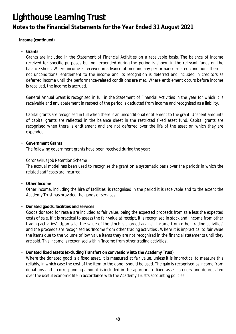**Income (continued)**

• **Grants**

Grants are included in the Statement of Financial Activities on a receivable basis. The balance of income received for specific purposes but not expended during the period is shown in the relevant funds on the balance sheet. Where income is received in advance of meeting any performance-related conditions there is not unconditional entitlement to the income and its recognition is deferred and included in creditors as deferred income until the performance-related conditions are met. Where entitlement occurs before income is received, the income is accrued.

General Annual Grant is recognised in full in the Statement of Financial Activities in the year for which it is receivable and any abatement in respect of the period is deducted from income and recognised as a liability.

Capital grants are recognised in full when there is an unconditional entitlement to the grant. Unspent amounts of capital grants are reflected in the balance sheet in the restricted fixed asset fund. Capital grants are recognised when there is entitlement and are not deferred over the life of the asset on which they are expended.

• **Government Grants**

The following government grants have been received during the year:

*Coronavirus Job Retention Scheme*

The accrual model has been used to recognise the grant on a systematic basis over the periods in which the related staff costs are incurred.

• **Other Income**

Other income, including the hire of facilities, is recognised in the period it is receivable and to the extent the Academy Trust has provided the goods or services.

• **Donated goods, facilities and services**

Goods donated for resale are included at fair value, being the expected proceeds from sale less the expected costs of sale. If it is practical to assess the fair value at receipt, it is recognised in stock and 'Income from other trading activities'. Upon sale, the value of the stock is charged against 'Income from other trading activities' and the proceeds are recognised as 'Income from other trading activities'. Where it is impractical to fair value the items due to the volume of low value items they are not recognised in the financial statements until they are sold. This income is recognised within 'Income from other trading activities'.

• **Donated fixed assets (excluding Transfers on conversion/into the Academy Trust)**

Where the donated good is a fixed asset, it is measured at fair value, unless it is impractical to measure this reliably, in which case the cost of the item to the donor should be used. The gain is recognised as income from donations and a corresponding amount is included in the appropriate fixed asset category and depreciated over the useful economic life in accordance with the Academy Trust's accounting policies.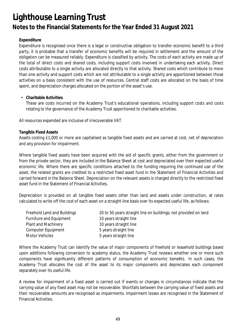### **Expenditure**

Expenditure is recognised once there is a legal or constructive obligation to transfer economic benefit to a third party, it is probable that a transfer of economic benefits will be required in settlement and the amount of the obligation can be measured reliably. Expenditure is classified by activity. The costs of each activity are made up of the total of direct costs and shared costs, including support costs involved in undertaking each activity. Direct costs attributable to a single activity are allocated directly to that activity. Shared costs which contribute to more than one activity and support costs which are not attributable to a single activity are apportioned between those activities on a basis consistent with the use of resources. Central staff costs are allocated on the basis of time spent, and depreciation charges allocated on the portion of the asset's use.

### • **Charitable Activities**

These are costs incurred on the Academy Trust's educational operations, including support costs and costs relating to the governance of the Academy Trust apportioned to charitable activities.

All resources expended are inclusive of irrecoverable VAT.

### **Tangible Fixed Assets**

Assets costing £1,000 or more are capitalised as tangible fixed assets and are carried at cost, net of depreciation and any provision for impairment.

Where tangible fixed assets have been acquired with the aid of specific grants, either from the government or from the private sector, they are included in the Balance Sheet at cost and depreciated over their expected useful economic life. Where there are specific conditions attached to the funding requiring the continued use of the asset, the related grants are credited to a restricted fixed asset fund in the Statement of Financial Activities and carried forward in the Balance Sheet. Depreciation on the relevant assets is charged directly to the restricted fixed asset fund in the Statement of Financial Activities.

Depreciation is provided on all tangible fixed assets other than land and assets under construction, at rates calculated to write off the cost of each asset on a straight-line basis over its expected useful life, as follows:

| Freehold Land and Buildings | 20 to 50 years straight line on buildings; not provided on land |
|-----------------------------|-----------------------------------------------------------------|
| Furniture and Equipment     | 10 years straight line                                          |
| <b>Plant and Machinery</b>  | 10 years straight line                                          |
| Computer Equipment          | 5 years straight line                                           |
| Motor Vehicles              | 5 years straight line                                           |

Where the Academy Trust can identify the value of major components of freehold or leasehold buildings based upon additions following conversion to academy status, the Academy Trust reviews whether one or more such components have significantly different patterns of consumption of economic benefits. In such cases, the Academy Trust allocates the cost of the asset to its major components and depreciates each component separately over its useful life.

A review for impairment of a fixed asset is carried out if events or changes in circumstances indicate that the carrying value of any fixed asset may not be recoverable. Shortfalls between the carrying value of fixed assets and their recoverable amounts are recognised as impairments. Impairment losses are recognised in the Statement of Financial Activities.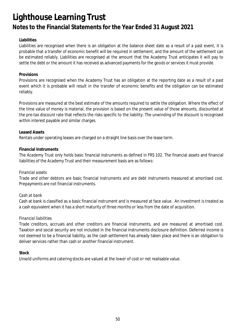### **Liabilities**

Liabilities are recognised when there is an obligation at the balance sheet date as a result of a past event, it is probable that a transfer of economic benefit will be required in settlement, and the amount of the settlement can be estimated reliably. Liabilities are recognised at the amount that the Academy Trust anticipates it will pay to settle the debt or the amount it has received as advanced payments for the goods or services it must provide.

#### **Provisions**

Provisions are recognised when the Academy Trust has an obligation at the reporting date as a result of a past event which it is probable will result in the transfer of economic benefits and the obligation can be estimated reliably.

Provisions are measured at the best estimate of the amounts required to settle the obligation. Where the effect of the time value of money is material, the provision is based on the present value of those amounts, discounted at the pre-tax discount rate that reflects the risks specific to the liability. The unwinding of the discount is recognised within interest payable and similar charges.

#### **Leased Assets**

Rentals under operating leases are charged on a straight line basis over the lease term.

#### **Financial Instruments**

The Academy Trust only holds basic financial instruments as defined in FRS 102. The financial assets and financial liabilities of the Academy Trust and their measurement basis are as follows:

#### *Financial assets*

Trade and other debtors are basic financial instruments and are debt instruments measured at amortised cost. Prepayments are not financial instruments.

#### *Cash at bank*

Cash at bank is classified as a basic financial instrument and is measured at face value. An investment is treated as a cash equivalent when it has a short maturity of three months or less from the date of acquisition.

#### *Financial liabilities*

Trade creditors, accruals and other creditors are financial instruments, and are measured at amortised cost. Taxation and social security are not included in the financial instruments disclosure definition. Deferred income is not deemed to be a financial liability, as the cash settlement has already taken place and there is an obligation to deliver services rather than cash or another financial instrument.

#### **Stock**

Unsold uniforms and catering stocks are valued at the lower of cost or net realisable value.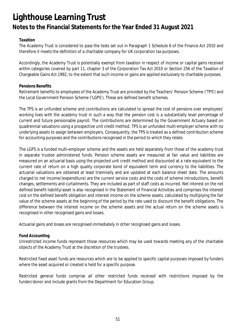### **Taxation**

The Academy Trust is considered to pass the tests set out in Paragraph 1 Schedule 6 of the Finance Act 2010 and therefore it meets the definition of a charitable company for UK corporation tax purposes.

Accordingly, the Academy Trust is potentially exempt from taxation in respect of income or capital gains received within categories covered by part 11, chapter 3 of the Corporation Tax Act 2010 or Section 256 of the Taxation of Chargeable Gains Act 1992, to the extent that such income or gains are applied exclusively to charitable purposes.

#### **Pensions Benefits**

Retirement benefits to employees of the Academy Trust are provided by the Teachers' Pension Scheme ('TPS') and the Local Government Pension Scheme ('LGPS'). These are defined benefit schemes.

The TPS is an unfunded scheme and contributions are calculated to spread the cost of pensions over employees' working lives with the academy trust in such a way that the pension cost is a substantially level percentage of current and future pensionable payroll. The contributions are determined by the Government Actuary based on quadrennial valuations using a prospective unit credit method. TPS is an unfunded multi-employer scheme with no underlying assets to assign between employers. Consequently, the TPS is treated as a defined contribution scheme for accounting purposes and the contributions recognised in the period to which they relate.

The LGPS is a funded multi-employer scheme and the assets are held separately from those of the academy trust in separate trustee administered funds. Pension scheme assets are measured at fair value and liabilities are measured on an actuarial basis using the projected unit credit method and discounted at a rate equivalent to the current rate of return on a high quality corporate bond of equivalent term and currency to the liabilities. The actuarial valuations are obtained at least triennially and are updated at each balance sheet date. The amounts charged to net income/(expenditure) are the current service costs and the costs of scheme introductions, benefit changes, settlements and curtailments. They are included as part of staff costs as incurred. Net interest on the net defined benefit liability/asset is also recognised in the Statement of Financial Activities and comprises the interest cost on the defined benefit obligation and interest income on the scheme assets, calculated by multiplying the fair value of the scheme assets at the beginning of the period by the rate used to discount the benefit obligations. The difference between the interest income on the scheme assets and the actual return on the scheme assets is recognised in other recognised gains and losses.

Actuarial gains and losses are recognised immediately in other recognised gains and losses.

### **Fund Accounting**

Unrestricted income funds represent those resources which may be used towards meeting any of the charitable objects of the Academy Trust at the discretion of the trustees.

Restricted fixed asset funds are resources which are to be applied to specific capital purposes imposed by funders where the asset acquired or created is held for a specific purpose.

Restricted general funds comprise all other restricted funds received with restrictions imposed by the funder/donor and include grants from the Department for Education Group.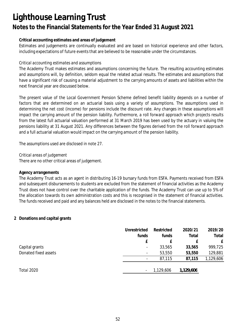### **Notes to the Financial Statements for the Year Ended 31 August 2021**

### **Critical accounting estimates and areas of judgement**

Estimates and judgements are continually evaluated and are based on historical experience and other factors, including expectations of future events that are believed to be reasonable under the circumstances.

#### *Critical accounting estimates and assumptions*

The Academy Trust makes estimates and assumptions concerning the future. The resulting accounting estimates and assumptions will, by definition, seldom equal the related actual results. The estimates and assumptions that have a significant risk of causing a material adjustment to the carrying amounts of assets and liabilities within the next financial year are discussed below.

The present value of the Local Government Pension Scheme defined benefit liability depends on a number of factors that are determined on an actuarial basis using a variety of assumptions. The assumptions used in determining the net cost (income) for pensions include the discount rate. Any changes in these assumptions will impact the carrying amount of the pension liability. Furthermore, a roll forward approach which projects results from the latest full actuarial valuation performed at 31 March 2019 has been used by the actuary in valuing the pensions liability at 31 August 2021. Any differences between the figures derived from the roll forward approach and a full actuarial valuation would impact on the carrying amount of the pension liability.

The assumptions used are disclosed in note 27.

There are no other critical areas of judgement. *Critical areas of judgement*

#### **Agency arrangements**

The Academy Trust acts as an agent in distributing 16-19 bursary funds from ESFA. Payments received from ESFA and subsequent disbursements to students are excluded from the statement of financial activities as the Academy Trust does not have control over the charitable application of the funds. The Academy Trust can use up to 5% of the allocation towards its own administration costs and this is recognised in the statement of financial activities. The funds received and paid and any balances held are disclosed in the notes to the financial statements.

### **2 Donations and capital grants**

|                      | Unrestricted             | Restricted | 2020/21   | 2019/20   |
|----------------------|--------------------------|------------|-----------|-----------|
|                      | funds                    | funds      | Total     | Total     |
|                      | £                        |            |           | £         |
| Capital grants       | $\overline{\phantom{a}}$ | 33,565     | 33,565    | 999,725   |
| Donated fixed assets | $\overline{\phantom{a}}$ | 53,550     | 53,550    | 129,881   |
|                      | $\overline{\phantom{a}}$ | 87,115     | 87,115    | 1,129,606 |
| <b>Total 2020</b>    | $\overline{\phantom{a}}$ | 1,129,606  | 1,129,606 |           |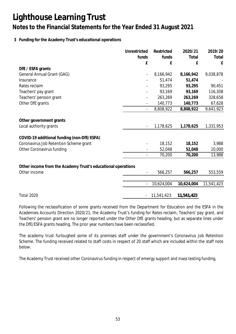### **Notes to the Financial Statements for the Year Ended 31 August 2021**

### **3 Funding for the Academy Trust's educational operations**

|                                                              | Unrestricted   | Restricted | 2020/21    | 2019/20    |
|--------------------------------------------------------------|----------------|------------|------------|------------|
|                                                              | funds          | funds      | Total      | Total      |
|                                                              | £              | £          | £          | £          |
| DfE / ESFA grants                                            |                |            |            |            |
| General Annual Grant (GAG)                                   |                | 8,166,942  | 8,166,942  | 9,038,878  |
| Insurance                                                    |                | 51,474     | 51,474     |            |
| Rates reclaim                                                |                | 93,295     | 93,295     | 90,451     |
| Teachers' pay grant                                          |                | 93,169     | 93,169     | 116,308    |
| Teachers' pension grant                                      |                | 263,269    | 263,269    | 328,658    |
| Other DfE grants                                             |                | 140,773    | 140,773    | 67,628     |
|                                                              | $\blacksquare$ | 8,808,922  | 8,808,922  | 9,641,923  |
| Other government grants                                      |                |            |            |            |
| Local authority grants                                       |                | 1,178,625  | 1,178,625  | 1,331,953  |
| COVID-19 additional funding (non-DfE/ESFA)                   |                |            |            |            |
| Coronavirus Job Retention Scheme grant                       |                | 18,152     | 18,152     | 3,988      |
| Other Coronavirus funding                                    |                | 52,048     | 52,048     | 10,000     |
|                                                              |                | 70,200     | 70,200     | 13,988     |
| Other income from the Academy Trust's educational operations |                |            |            |            |
| Other income                                                 |                | 566,257    | 566,257    | 553,559    |
|                                                              |                | 10,624,004 | 10,624,004 | 11,541,423 |
|                                                              |                |            |            |            |
| Total 2020                                                   |                | 11,541,423 | 11,541,423 |            |

Following the reclassification of some grants received from the Department for Education and the ESFA in the Academies Accounts Direction 2020/21, the Academy Trust's funding for Rates reclaim, Teachers' pay grant, and Teachers' pension grant are no longer reported under the Other DfE grants heading, but as separate lines under the DfE/ESFA grants heading. The prior year numbers have been reclassified.

The academy trust furloughed some of its premises staff under the government's Coronavirus Job Retention Scheme. The funding received related to staff costs in respect of 20 staff which are included within the staff note below.

The Academy Trust received other Coronavirus funding in respect of emergy support and mass testing funding.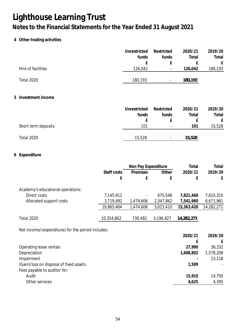### **4 Other trading activities**

|   |                                                   |             | Unrestricted<br>funds | Restricted<br>funds | 2020/21<br>Total | 2019/20<br>Total |
|---|---------------------------------------------------|-------------|-----------------------|---------------------|------------------|------------------|
|   |                                                   |             | £                     | £                   | £                | £                |
|   | Hire of facilities                                |             | 126,042               |                     | 126,042          | 180,193          |
|   | Total 2020                                        |             | 180,193               |                     | 180,193          |                  |
| 5 | Investment income                                 |             |                       |                     |                  |                  |
|   |                                                   |             | Unrestricted          | Restricted          | 2020/21          | 2019/20          |
|   |                                                   |             | funds                 | funds               | Total            | Total            |
|   |                                                   |             | £                     | £                   | £                | £                |
|   | Short term deposits                               |             | 101                   |                     | 101              | 15,528           |
|   | Total 2020                                        |             | 15,528                |                     | 15,528           |                  |
|   | 6 Expenditure                                     |             |                       |                     |                  |                  |
|   |                                                   |             | Non Pay Expenditure   |                     | Total            | Total            |
|   |                                                   | Staff costs | Premises              | Other               | 2020/21          | 2019/20          |
|   |                                                   | £           | £                     | £                   | ${\bf f}$        | £                |
|   | Academy's educational operations:                 |             |                       |                     |                  |                  |
|   | Direct costs                                      | 7,145,912   |                       | 675,548             | 7,821,460        | 7,610,310        |
|   | Allocated support costs                           | 3,719,492   | 1,474,606             | 2,347,862           | 7,541,960        | 6,671,961        |
|   |                                                   | 10,865,404  | 1,474,606             | 3,023,410           | 15,363,420       | 14,282,271       |
|   | <b>Total 2020</b>                                 | 10,354,862  | 730,482               | 3,196,927           | 14,282,271       |                  |
|   | Net income/(expenditure) for the period includes: |             |                       |                     |                  |                  |
|   |                                                   |             |                       |                     | 2020/21          | 2019/20          |
|   |                                                   |             |                       |                     | £                | £                |
|   | Operating lease rentals                           |             |                       |                     | 27,990           | 36,332           |
|   | Depreciation                                      |             |                       |                     | 1,608,802        | 1,578,208        |
|   | Impairment                                        |             |                       |                     |                  | 23,118           |
|   | (Gain)/loss on disposal of fixed assets           |             |                       |                     | 1,509            |                  |

Fees payable to auditor for: Audit **15,910** 14,750 Other services **4,395** 4,395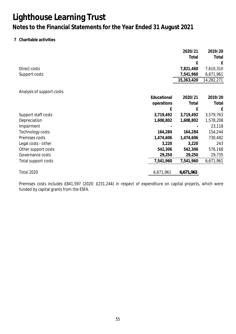### **7 Charitable activities**

|                            |             | 2020/21    | 2019/20    |
|----------------------------|-------------|------------|------------|
|                            |             | Total      | Total      |
|                            |             | £          | £          |
| Direct costs               |             | 7,821,460  | 7,610,310  |
| Support costs              |             | 7,541,960  | 6,671,961  |
|                            |             | 15,363,420 | 14,282,271 |
|                            |             |            |            |
| Analysis of support costs: |             |            |            |
|                            | Educational | 2020/21    | 2019/20    |
|                            | operations  | Total      | Total      |
|                            | £           | £          | £          |
| Support staff costs        | 3,719,492   | 3,719,492  | 3,579,763  |
| Depreciation               | 1,608,802   | 1,608,802  | 1,578,208  |
| Impairment                 |             |            | 23,118     |
| Technology costs           | 164,284     | 164,284    | 154,244    |
| Premises costs             | 1,474,606   | 1,474,606  | 730,482    |
| Legal costs - other        | 3,220       | 3,220      | 243        |
| Other support costs        | 542,306     | 542,306    | 576,168    |
| Governance costs           | 29,250      | 29,250     | 29,735     |
| Total support costs        | 7,541,960   | 7,541,960  | 6,671,961  |
| <b>Total 2020</b>          | 6,671,961   | 6,671,961  |            |
|                            |             |            |            |

Premises costs includes £841,597 (2020: £231,244) in respect of expenditure on capital projects, which were funded by capital grants from the ESFA.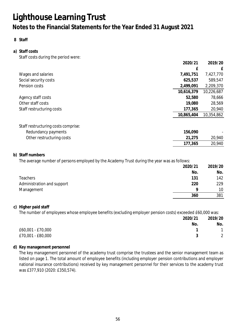**8 Staff**

### **a) Staff costs** Staff costs during the period were:

|                                     | 2020/21    | 2019/20    |
|-------------------------------------|------------|------------|
|                                     | £          | £          |
| Wages and salaries                  | 7,491,751  | 7,427,770  |
| Social security costs               | 625,537    | 589,547    |
| Pension costs                       | 2,499,091  | 2,209,370  |
|                                     | 10,616,379 | 10,226,687 |
| Agency staff costs                  | 52,580     | 78,666     |
| Other staff costs                   | 19,080     | 28,569     |
| Staff restructuring costs           | 177,365    | 20,940     |
|                                     | 10,865,404 | 10,354,862 |
| Staff restructuring costs comprise: |            |            |
| Redundancy payments                 | 156,090    |            |
| Other restructuring costs           | 21,275     | 20,940     |
|                                     | 177,365    | 20,940     |

#### **b) Staff numbers**

The average number of persons employed by the Academy Trust during the year was as follows:

|                            | 2020/21 | 2019/20 |
|----------------------------|---------|---------|
|                            | No.     | No.     |
| Teachers                   | 131     | 142     |
| Administration and support | 220     | 229     |
| Management                 | o       | 10      |
|                            | 360     | 381     |
|                            |         |         |

### **c) Higher paid staff**

The number of employees whose employee benefits (excluding employer pension costs) exceeded £60,000 was:

| 2020/21           | 2019/20 |
|-------------------|---------|
| No.               | No.     |
| £60,001 - £70,000 |         |
| £70,001 - £80,000 | 2       |

### **d) Key management personnel**

The key management personnel of the academy trust comprise the trustees and the senior management team as listed on page 1. The total amount of employee benefits (including employer pension contributions and employer national insurance contributions) received by key management personnel for their services to the academy trust was £377,910 (2020: £350,574).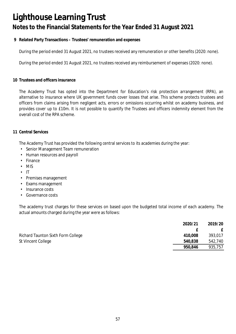### **Notes to the Financial Statements for the Year Ended 31 August 2021**

**9 Related Party Transactions – Trustees' remuneration and expenses**

During the period ended 31 August 2021, no trustees received any remuneration or other benefits (2020: none).

During the period ended 31 August 2021, no trustees received any reimbursement of expenses (2020: none).

**10 Trustees and officers insurance**

The Academy Trust has opted into the Department for Education's risk protection arrangement (RPA), an alternative to insurance where UK government funds cover losses that arise. This scheme protects trustees and officers from claims arising from negligent acts, errors or omissions occurring whilst on academy business, and provides cover up to £10m. It is not possible to quantify the Trustees and officers indemnity element from the overall cost of the RPA scheme.

#### **11 Central Services**

The Academy Trust has provided the following central services to its academies during the year:

- *•* Senior Management Team remuneration
- *•* Human resources and payroll
- *•* Finance
- *•* MIS
- *•* IT
- *•* Premises management
- *•* Exams management
- *•* Insurance costs
- *•* Governance costs

The academy trust charges for these services on based upon the budgeted total income of each academy. The actual amounts charged during the year were as follows:

|                                    | 2020/21 | 2019/20      |
|------------------------------------|---------|--------------|
|                                    |         | $\mathbf{f}$ |
| Richard Taunton Sixth Form College | 410.008 | 393,017      |
| St Vincent College                 | 540,838 | 542,740      |
|                                    | 950,846 | 935,757      |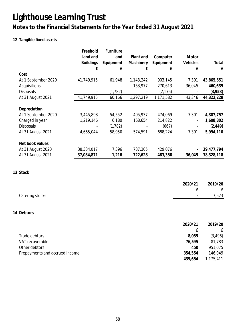## **Notes to the Financial Statements for the Year Ended 31 August 2021**

### **12 Tangible fixed assets**

|                     | Freehold<br>Land and<br><b>Buildings</b><br>£ | Furniture<br>and<br>Equipment<br>£ | Plant and<br>Machinery<br>£ | Computer<br>Equipment<br>£ | Motor<br>Vehicles<br>£ | Total<br>£ |
|---------------------|-----------------------------------------------|------------------------------------|-----------------------------|----------------------------|------------------------|------------|
| Cost                |                                               |                                    |                             |                            |                        |            |
| At 1 September 2020 | 41,749,915                                    | 61,948                             | 1,143,242                   | 903,145                    | 7,301                  | 43,865,551 |
| Acquisitions        |                                               |                                    | 153,977                     | 270,613                    | 36,045                 | 460,635    |
| <b>Disposals</b>    |                                               | (1, 782)                           |                             | (2, 176)                   |                        | (3,958)    |
| At 31 August 2021   | 41,749,915                                    | 60,166                             | 1,297,219                   | 1,171,582                  | 43,346                 | 44,322,228 |
| Depreciation        |                                               |                                    |                             |                            |                        |            |
| At 1 September 2020 | 3,445,898                                     | 54,552                             | 405,937                     | 474,069                    | 7,301                  | 4,387,757  |
| Charged in year     | 1,219,146                                     | 6,180                              | 168,654                     | 214,822                    |                        | 1,608,802  |
| <b>Disposals</b>    |                                               | (1, 782)                           |                             | (667)                      |                        | (2, 449)   |
| At 31 August 2021   | 4,665,044                                     | 58,950                             | 574,591                     | 688,224                    | 7,301                  | 5,994,110  |
| Net book values     |                                               |                                    |                             |                            |                        |            |
| At 31 August 2020   | 38,304,017                                    | 7,396                              | 737,305                     | 429,076                    |                        | 39,477,794 |
| At 31 August 2021   | 37,084,871                                    | 1,216                              | 722,628                     | 483,358                    | 36,045                 | 38,328,118 |

**13 Stock**

|                 | 2020/21 | 2019/20 |
|-----------------|---------|---------|
|                 |         | E       |
| Catering stocks | $\sim$  | 7,523   |
|                 |         |         |

#### **14 Debtors**

|                                | 2020/21 | 2019/20   |
|--------------------------------|---------|-----------|
|                                |         | £.        |
| Trade debtors                  | 8,055   | (3, 496)  |
| VAT recoverable                | 76,595  | 81,783    |
| Other debtors                  | 450     | 951,075   |
| Prepayments and accrued income | 354,554 | 146,049   |
|                                | 439,654 | 1,175,411 |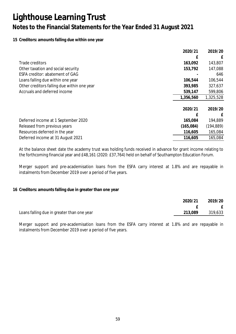### **15 Creditors: amounts falling due within one year**

|                                             | 2020/21    | 2019/20    |
|---------------------------------------------|------------|------------|
|                                             |            | £          |
| Trade creditors                             | 163,092    | 143,807    |
| Other taxation and social security          | 153,792    | 147,088    |
| ESFA creditor: abatement of GAG             |            | 646        |
| Loans falling due within one year           | 106,544    | 106,544    |
| Other creditors falling due within one year | 393,985    | 327,637    |
| Accruals and deferred income                | 539,147    | 599,806    |
|                                             | 1,356,560  | 1,325,528  |
|                                             |            |            |
|                                             | 2020/21    | 2019/20    |
|                                             |            | £          |
| Deferred income at 1 September 2020         | 165,084    | 194,889    |
| Released from previous years                | (165, 084) | (194, 889) |
| Resources deferred in the year              | 116,605    | 165,084    |
| Deferred income at 31 August 2021           | 116,605    | 165,084    |

At the balance sheet date the academy trust was holding funds received in advance for grant income relating to the forthcoming financial year and £48,161 (2020: £37,764) held on behalf of Southampton Education Forum.

Merger support and pre-academisation loans from the ESFA carry interest at 1.8% and are repayable in instalments from December 2019 over a period of five years.

#### **16 Creditors: amounts falling due in greater than one year**

|                                            | 2020/21 | 2019/20 |
|--------------------------------------------|---------|---------|
|                                            |         | E       |
| Loans falling due in greater than one year | 213,089 | 319,633 |

Merger support and pre-academisation loans from the ESFA carry interest at 1.8% and are repayable in instalments from December 2019 over a period of five years.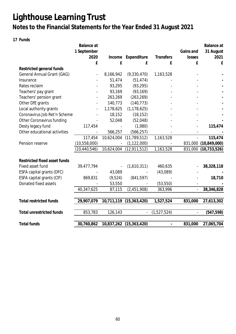### **Notes to the Financial Statements for the Year Ended 31 August 2021**

**17 Funds**

|                                   | Balance at<br>1 September |            |                         |                          | Gains and      | Balance at<br>31 August |
|-----------------------------------|---------------------------|------------|-------------------------|--------------------------|----------------|-------------------------|
|                                   | 2020                      | Income     | Expenditure             | Transfers                | losses         | 2021                    |
|                                   | £                         | £          | £                       | £                        | £              | £                       |
| Restricted general funds          |                           |            |                         |                          |                |                         |
| <b>General Annual Grant (GAG)</b> |                           | 8,166,942  | (9,330,470)             | 1,163,528                |                |                         |
| Insurance                         |                           | 51,474     | (51, 474)               |                          |                |                         |
| Rates reclaim                     |                           | 93,295     | (93, 295)               |                          |                |                         |
| Teachers' pay grant               |                           | 93,169     | (93, 169)               |                          |                |                         |
| Teachers' pension grant           |                           | 263,269    | (263, 269)              |                          |                |                         |
| Other DfE grants                  |                           | 140,773    | (140, 773)              |                          |                |                         |
| Local authority grants            |                           | 1,178,625  | (1, 178, 625)           |                          |                |                         |
| Coronavirus Job Ret'n Scheme      |                           |            |                         |                          |                |                         |
|                                   |                           | 18,152     | (18, 152)               |                          |                |                         |
| Other Coronavirus funding         |                           | 52,048     | (52,048)                |                          |                |                         |
| Desty legacy fund                 | 117,454                   |            | (1,980)                 |                          |                | 115,474                 |
| Other educational activities      |                           | 566,257    | (566, 257)              |                          |                |                         |
|                                   | 117,454                   | 10,624,004 | (11, 789, 512)          | 1,163,528                | $\overline{a}$ | 115,474                 |
| Pension reserve                   | (10,558,000)              |            | (1, 122, 000)           |                          |                | 831,000 (10,849,000)    |
|                                   | (10, 440, 546)            | 10,624,004 | (12, 911, 512)          | 1,163,528                | 831,000        | (10, 733, 526)          |
|                                   |                           |            |                         |                          |                |                         |
| Restricted fixed asset funds      |                           |            |                         |                          |                |                         |
| Fixed asset fund                  | 39,477,794                |            | (1,610,311)             | 460,635                  |                | 38,328,118              |
| ESFA capital grants (DFC)         |                           | 43,089     |                         | (43,089)                 |                |                         |
| ESFA capital grants (CIF)         | 869,831                   | (9,524)    | (841, 597)              |                          |                | 18,710                  |
| Donated fixed assets              |                           | 53,550     |                         | (53, 550)                |                |                         |
|                                   | 40,347,625                | 87,115     | (2,451,908)             | 363,996                  |                | 38,346,828              |
|                                   |                           |            |                         |                          |                |                         |
| <b>Total restricted funds</b>     | 29,907,079                | 10,711,119 | (15, 363, 420)          | 1,527,524                | 831,000        | 27,613,302              |
| <b>Total unrestricted funds</b>   | 853,783                   | 126,143    |                         | (1,527,524)              |                | (547, 598)              |
| <b>Total funds</b>                | 30,760,862                |            | 10,837,262 (15,363,420) | $\overline{\phantom{0}}$ | 831,000        | 27,065,704              |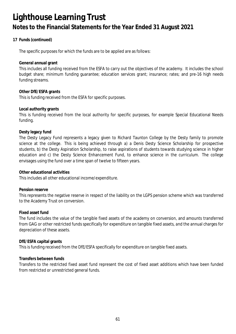### **17 Funds (continued)**

The specific purposes for which the funds are to be applied are as follows:

#### **General annual grant**

This includes all funding received from the ESFA to carry out the objectives of the academy. It includes the school budget share; minimum funding guarantee; education services grant; insurance; rates; and pre-16 high needs funding streams.

**Other DfE/ESFA grants** This is funding received from the ESFA for specific purposes.

#### **Local authority grants**

This is funding received from the local authority for specific purposes, for example Special Educational Needs funding.

#### **Desty legacy fund**

The Desty Legacy Fund represents a legacy given to Richard Taunton College by the Desty family to promote science at the college. This is being achieved through a) a Denis Desty Science Scholarship for prospective students, b) the Desty Aspiration Scholarship, to raise aspirations of students towards studying science in higher education and c) the Desty Science Enhancement Fund, to enhance science in the curriculum. The college envisages using the fund over a time span of twelve to fifteen years.

**Other educational activities**

This includes all other educational income/expenditure.

**Pension reserve**

This represents the negative reserve in respect of the liability on the LGPS pension scheme which was transferred to the Academy Trust on conversion.

#### **Fixed asset fund**

The fund includes the value of the tangible fixed assets of the academy on conversion, and amounts transferred from GAG or other restricted funds specifically for expenditure on tangible fixed assets, and the annual charges for depreciation of these assets.

**DfE/ESFA capital grants**

This is funding received from the DfE/ESFA specifically for expenditure on tangible fixed assets.

#### **Transfers between funds**

Transfers to the restricted fixed asset fund represent the cost of fixed asset additions which have been funded from restricted or unrestricted general funds.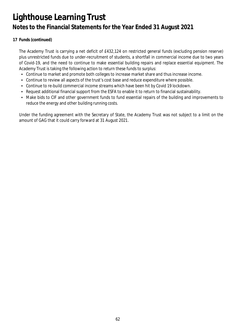### **17 Funds (continued)**

The Academy Trust is carrying a net deficit of £432,124 on restricted general funds (excluding pension reserve) plus unrestricted funds due to under-recruitment of students, a shortfall in commercial income due to two years of Covid-19, and the need to continue to make essential building repairs and replace essential equipment. The Academy Trust is taking the following action to return these funds to surplus:

- Continue to market and promote both colleges to increase market share and thus increase income.
- Continue to review all aspects of the trust's cost base and reduce expenditure where possible.
- Continue to re-build commercial income streams which have been hit by Covid 19 lockdown.
- Request additional financial support from the ESFA to enable it to return to financial sustainability.
- Make bids to CIF and other government funds to fund essential repairs of the building and improvements to reduce the energy and other building running costs.

Under the funding agreement with the Secretary of State, the Academy Trust was not subject to a limit on the amount of GAG that it could carry forward at 31 August 2021.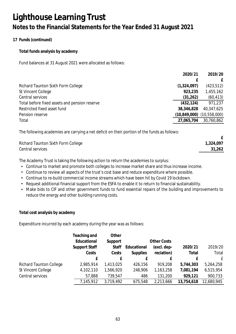**17 Funds (continued)**

**Total funds analysis by academy**

Fund balances at 31 August 2021 were allocated as follows:

|                                               | 2020/21        | 2019/20      |
|-----------------------------------------------|----------------|--------------|
|                                               |                | $\mathbf{f}$ |
| Richard Taunton Sixth Form College            | (1,324,097)    | (423, 512)   |
| St Vincent College                            | 923,235        | 1,455,162    |
| Central services                              | (31,262)       | (60, 413)    |
| Total before fixed assets and pension reserve | (432, 124)     | 971,237      |
| Restricted fixed asset fund                   | 38,346,828     | 40,347,625   |
| Pension reserve                               | (10, 849, 000) | (10,558,000) |
| Total                                         | 27,065,704     | 30,760,862   |
|                                               |                |              |

The following academies are carrying a net deficit on their portion of the funds as follows:

| 1,324,097 |
|-----------|
| 31,262    |
|           |

The Academy Trust is taking the following action to return the academies to surplus:

- Continue to market and promote both colleges to increase market share and thus increase income.
- Continue to review all aspects of the trust's cost base and reduce expenditure where possible.
- Continue to re-build commercial income streams which have been hit by Covid 19 lockdown.
- Request additional financial support from the ESFA to enable it to return to financial sustainability.
- Make bids to CIF and other government funds to fund essential repairs of the building and improvements to reduce the energy and other building running costs.

**Total cost analysis by academy**

Expenditure incurred by each academy during the year was as follows:

|                                | Teaching and  | Other     |                 |                    |            |              |
|--------------------------------|---------------|-----------|-----------------|--------------------|------------|--------------|
|                                | Educational   | Support   |                 | <b>Other Costs</b> |            |              |
|                                | Support Staff | Staff     | Educational     | (excl. dep-        | 2020/21    | 2019/20      |
|                                | Costs         | Costs     | <b>Supplies</b> | reciation)         | Total      | Total        |
|                                | £             |           |                 | £                  |            | $\mathsf{f}$ |
| <b>Richard Taunton College</b> | 2,985,914     | 1,413,025 | 426,156         | 919,208            | 5,744,303  | 5,264,258    |
| St Vincent College             | 4,102,110     | 1,566,920 | 248,906         | 1,163,258          | 7,081,194  | 6,515,954    |
| Central services               | 57,888        | 739,547   | 486             | 131,200            | 929,121    | 900,733      |
|                                | 7,145,912     | 3,719,492 | 675,548         | 2,213,666          | 13,754,618 | 12,680,945   |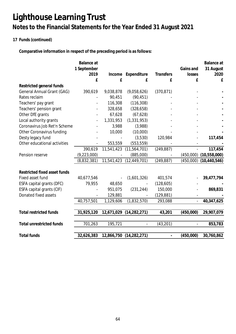### **17 Funds (continued)**

**Comparative information in respect of the preceding period is as follows:**

|                                 | Balance at    |            |                |               |           | Balance at     |
|---------------------------------|---------------|------------|----------------|---------------|-----------|----------------|
|                                 | 1 September   |            |                |               | Gains and | 31 August      |
|                                 | 2019          | Income     | Expenditure    | Transfers     | losses    | 2020           |
|                                 | £             | £          | £              | £             | £         | £              |
| Restricted general funds        |               |            |                |               |           |                |
| General Annual Grant (GAG)      | 390,619       | 9,038,878  | (9,058,626)    | (370, 871)    |           |                |
| Rates reclaim                   |               | 90,451     | (90, 451)      |               |           |                |
| Teachers' pay grant             |               | 116,308    | (116, 308)     |               |           |                |
| Teachers' pension grant         |               | 328,658    | (328, 658)     |               |           |                |
| Other DfE grants                |               | 67,628     | (67, 628)      |               |           |                |
| Local authority grants          |               | 1,331,953  | (1, 331, 953)  |               |           |                |
| Coronavirus Job Ret'n Scheme    |               | 3,988      | (3,988)        |               |           |                |
| Other Coronavirus funding       |               | 10,000     | (10,000)       |               |           |                |
| Desty legacy fund               |               |            | (3,530)        | 120,984       |           | 117,454        |
| Other educational activities    |               | 553,559    | (553, 559)     |               |           |                |
|                                 | 390,619       | 11,541,423 | (11, 564, 701) | (249, 887)    |           | 117,454        |
| Pension reserve                 | (9, 223, 000) |            | (885,000)      |               | (450,000) | (10,558,000)   |
|                                 | (8,832,381)   | 11,541,423 | (12, 449, 701) | (249, 887)    | (450,000) | (10, 440, 546) |
|                                 |               |            |                |               |           |                |
| Restricted fixed asset funds    |               |            |                |               |           |                |
| Fixed asset fund                | 40,677,546    |            | (1,601,326)    | 401,574       |           | 39,477,794     |
| ESFA capital grants (DFC)       | 79,955        | 48,650     |                | (128, 605)    |           |                |
| ESFA capital grants (CIF)       |               | 951,075    | (231, 244)     | 150,000       |           | 869,831        |
| Donated fixed assets            |               | 129,881    |                | (129, 881)    |           |                |
|                                 | 40,757,501    | 1,129,606  | (1,832,570)    | 293,088       |           | 40,347,625     |
|                                 |               |            |                |               |           |                |
| <b>Total restricted funds</b>   | 31,925,120    | 12,671,029 | (14, 282, 271) | 43,201        | (450,000) | 29,907,079     |
| <b>Total unrestricted funds</b> | 701,263       | 195,721    |                | (43, 201)     |           | 853,783        |
| <b>Total funds</b>              | 32,626,383    | 12,866,750 | (14, 282, 271) | $\frac{1}{2}$ | (450,000) | 30,760,862     |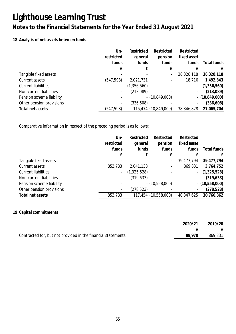### **Notes to the Financial Statements for the Year Ended 31 August 2021**

### **18 Analysis of net assets between funds**

|                            | Un-<br>restricted        | Restricted<br>general | Restricted<br>pension | Restricted<br>fixed asset |                  |
|----------------------------|--------------------------|-----------------------|-----------------------|---------------------------|------------------|
|                            | funds                    | funds                 | funds                 | funds                     | Total funds      |
|                            | £                        | f                     | £                     |                           | £                |
| Tangible fixed assets      |                          |                       |                       | 38,328,118                | 38,328,118       |
| Current assets             | (547,598)                | 2,021,731             |                       | 18,710                    | 1,492,843        |
| <b>Current liabilities</b> | $\overline{\phantom{a}}$ | (1,356,560)           |                       | $\overline{\phantom{a}}$  | (1,356,560)      |
| Non-current liabilities    | ۰                        | (213,089)             |                       |                           | (213,089)        |
| Pension scheme liability   | $\overline{\phantom{0}}$ |                       | $- (10,849,000)$      |                           | $- (10,849,000)$ |
| Other pension provisions   | -                        | (336, 608)            |                       |                           | (336, 608)       |
| Total net assets           | (547,598)                |                       | 115,474 (10,849,000)  | 38,346,828                | 27,065,704       |

Comparative information in respect of the preceding period is as follows:

|                            | Un-                      | Restricted  | Restricted               | Restricted  |                  |
|----------------------------|--------------------------|-------------|--------------------------|-------------|------------------|
|                            | restricted               | general     | pension                  | fixed asset |                  |
|                            | funds                    | funds       | funds                    | funds       | Total funds      |
|                            |                          | £           | £                        |             | f                |
| Tangible fixed assets      |                          |             | $\overline{\phantom{0}}$ | 39,477,794  | 39,477,794       |
| Current assets             | 853,783                  | 2,041,138   | $\overline{\phantom{a}}$ | 869,831     | 3,764,752        |
| <b>Current liabilities</b> | -                        | (1,325,528) |                          | $\sim$      | (1,325,528)      |
| Non-current liabilities    | $\overline{\phantom{a}}$ | (319, 633)  |                          |             | (319, 633)       |
| Pension scheme liability   | $\overline{\phantom{a}}$ |             | $- (10, 558, 000)$       |             | $-$ (10,558,000) |
| Other pension provisions   | $\overline{\phantom{a}}$ | (278, 523)  |                          |             | (278, 523)       |
| Total net assets           | 853,783                  |             | 117,454 (10,558,000)     | 40,347,625  | 30,760,862       |

### **19 Capital commitments**

| 2020/21 | 2019/20 |
|---------|---------|
|         | E       |
| 89.970  | 869,831 |
|         |         |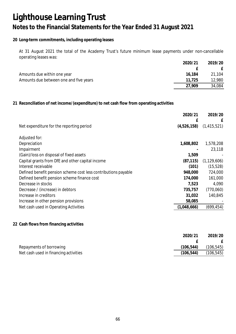### **20 Long-term commitments, including operating leases**

At 31 August 2021 the total of the Academy Trust's future minimum lease payments under non-cancellable operating leases was:

|                                        | 2020/21 | 2019/20 |
|----------------------------------------|---------|---------|
|                                        |         |         |
| Amounts due within one year            | 16,184  | 21,104  |
| Amounts due between one and five years | 11.725  | 12,980  |
|                                        | 27.909  | 34,084  |

**21 Reconciliation of net income/(expenditure) to net cash flow from operating activities**

|                                                                | 2020/21     | 2019/20       |
|----------------------------------------------------------------|-------------|---------------|
|                                                                | £           | £             |
| Net expenditure for the reporting period                       | (4,526,158) | (1, 415, 521) |
| Adjusted for:                                                  |             |               |
| Depreciation                                                   | 1,608,802   | 1,578,208     |
| Impairment                                                     |             | 23,118        |
| (Gain)/loss on disposal of fixed assets                        | 1,509       |               |
| Capital grants from DfE and other capital income               | (87, 115)   | (1, 129, 606) |
| Interest receivable                                            | (101)       | (15, 528)     |
| Defined benefit pension scheme cost less contributions payable | 948,000     | 724,000       |
| Defined benefit pension scheme finance cost                    | 174,000     | 161,000       |
| Decrease in stocks                                             | 7,523       | 4,090         |
| Decrease / (increase) in debtors                               | 735,757     | (770,060)     |
| Increase in creditors                                          | 31,032      | 140,845       |
| Increase in other pension provisions                           | 58,085      |               |
| Net cash used in Operating Activities                          | (1,048,666) | (699,454)     |
|                                                                |             |               |

### **22 Cash flows from financing activities**

|                                       | 2020/21   | 2019/20    |
|---------------------------------------|-----------|------------|
|                                       |           |            |
| Repayments of borrowing               | (106,544) | (106, 545) |
| Net cash used in financing activities | (106,544) | (106, 545) |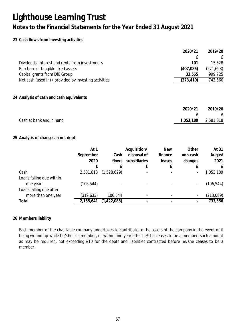### **23 Cash flows from investing activities**

|                                                       | 2020/21    | 2019/20    |
|-------------------------------------------------------|------------|------------|
|                                                       | f          | £          |
| Dividends, interest and rents from investments        | 101        | 15,528     |
| Purchase of tangible fixed assets                     | (407,085)  | (271, 693) |
| Capital grants from DfE Group                         | 33,565     | 999,725    |
| Net cash (used in) / provided by investing activities | (373, 419) | 743,560    |
| 24 Analysis of cash and cash equivalents              |            |            |
|                                                       |            |            |
|                                                       | 2020/21    | 2019/20    |
|                                                       | f          | £          |
| Cash at bank and in hand                              | 1,053,189  | 2,581,818  |

### **25 Analysis of changes in net debt**

|                          | At 1       |               | Acquisition/ | <b>New</b>               | Other    | At 31      |
|--------------------------|------------|---------------|--------------|--------------------------|----------|------------|
|                          | September  | Cash          | disposal of  | finance                  | non-cash | August     |
|                          | 2020       | flows         | subsidiaries | leases                   | changes  | 2021       |
|                          | £          |               | £            |                          |          |            |
| Cash                     | 2,581,818  | (1,528,629)   |              | $\overline{\phantom{0}}$ |          | 1,053,189  |
| Loans falling due within |            |               |              |                          |          |            |
| one year                 | (106, 544) |               |              |                          |          | (106, 544) |
| Loans falling due after  |            |               |              |                          |          |            |
| more than one year       | (319, 633) | 106,544       |              |                          |          | (213,089)  |
| Total                    | 2,155,641  | (1, 422, 085) |              |                          |          | 733,556    |

### **26 Members liability**

Each member of the charitable company undertakes to contribute to the assets of the company in the event of it being wound up while he/she is a member, or within one year after he/she ceases to be a member, such amount as may be required, not exceeding £10 for the debts and liabilities contracted before he/she ceases to be a member.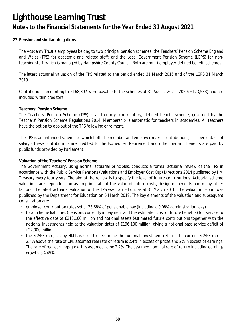### **27 Pension and similar obligations**

The Academy Trust's employees belong to two principal pension schemes: the Teachers' Pension Scheme England and Wales (TPS) for academic and related staff; and the Local Government Pension Scheme (LGPS) for nonteaching staff, which is managed by Hampshire County Council. Both are multi-employer defined benefit schemes.

The latest actuarial valuation of the TPS related to the period ended 31 March 2016 and of the LGPS 31 March 2019.

Contributions amounting to £168,307 were payable to the schemes at 31 August 2021 (2020: £173,583) and are included within creditors.

#### **Teachers' Pension Scheme**

The Teachers' Pension Scheme (TPS) is a statutory, contributory, defined benefit scheme, governed by the Teachers' Pension Scheme Regulations 2014. Membership is automatic for teachers in academies. All teachers have the option to opt-out of the TPS following enrolment.

The TPS is an unfunded scheme to which both the member and employer makes contributions, as a percentage of salary - these contributions are credited to the Exchequer. Retirement and other pension benefits are paid by public funds provided by Parliament.

#### **Valuation of the Teachers' Pension Scheme**

The Government Actuary, using normal actuarial principles, conducts a formal actuarial review of the TPS in accordance with the Public Service Pensions (Valuations and Employer Cost Cap) Directions 2014 published by HM Treasury every four years. The aim of the review is to specify the level of future contributions. Actuarial scheme valuations are dependent on assumptions about the value of future costs, design of benefits and many other factors. The latest actuarial valuation of the TPS was carried out as at 31 March 2016. The valuation report was published by the Department for Education on 5 March 2019. The key elements of the valuation and subsequent consultation are:

- employer contribution rates set at 23.68% of pensionable pay (including a 0.08% administration levy).
- total scheme liabilities (pensions currently in payment and the estimated cost of future benefits) for service to the effective date of £218,100 million and notional assets (estimated future contributions together with the notional investments held at the valuation date) of £196,100 million, giving a notional past service deficit of £22,000 million.
- the SCAPE rate, set by HMT, is used to determine the notional investment return. The current SCAPE rate is 2.4% above the rate of CPI. assumed real rate of return is 2.4% in excess of prices and 2% in excess of earnings. The rate of real earnings growth is assumed to be 2.2%. The assumed nominal rate of return including earnings growth is 4.45%.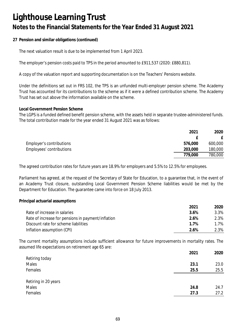**27 Pension and similar obligations (continued)**

The next valuation result is due to be implemented from 1 April 2023.

The employer's pension costs paid to TPS in the period amounted to £911,537 (2020: £880,811).

A copy of the valuation report and supporting documentation is on the Teachers' Pensions website.

Under the definitions set out in FRS 102, the TPS is an unfunded multi-employer pension scheme. The Academy Trust has accounted for its contributions to the scheme as if it were a defined contribution scheme. The Academy Trust has set out above the information available on the scheme.

**Local Government Pension Scheme**

The LGPS is a funded defined benefit pension scheme, with the assets held in separate trustee-administered funds. The total contribution made for the year ended 31 August 2021 was as follows:

|                          | 2021    | 2020    |
|--------------------------|---------|---------|
|                          |         |         |
| Employer's contributions | 576,000 | 600,000 |
| Employees' contributions | 203,000 | 180,000 |
|                          | 779,000 | 780,000 |

The agreed contribution rates for future years are 18.9% for employers and 5.5% to 12.5% for employees.

Parliament has agreed, at the request of the Secretary of State for Education, to a guarantee that, in the event of an Academy Trust closure, outstanding Local Government Pension Scheme liabilities would be met by the Department for Education. The guarantee came into force on 18 July 2013.

**Principal actuarial assumptions**

|                                                    | 2021 | 2020 |
|----------------------------------------------------|------|------|
| Rate of increase in salaries                       | 3.6% | 3.3% |
| Rate of increase for pensions in payment/inflation | 2.6% | 2.3% |
| Discount rate for scheme liabilities               | 1 7% | 1.7% |
| Inflation assumption (CPI)                         | 2.6% | 2.3% |

The current mortality assumptions include sufficient allowance for future improvements in mortality rates. The assumed life expectations on retirement age 65 are:

|                      | 2021 | 2020 |
|----------------------|------|------|
| Retiring today       |      |      |
| Males                | 23.1 | 23.0 |
| Females              | 25.5 | 25.5 |
|                      |      |      |
| Retiring in 20 years |      |      |
| Males                | 24.8 | 24.7 |
| Females              | 27.3 | 27.2 |
|                      |      |      |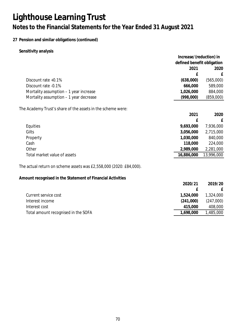### **27 Pension and similar obligations (continued)**

**Sensitivity analysis**

|                                                                    | Increase/(reduction) in    |            |
|--------------------------------------------------------------------|----------------------------|------------|
|                                                                    | defined benefit obligation |            |
|                                                                    | 2021                       | 2020       |
|                                                                    | £                          | £          |
| Discount rate +0.1%                                                | (638,000)                  | (565,000)  |
| Discount rate -0.1%                                                | 666,000                    | 589,000    |
| Mortality assumption - 1 year increase                             | 1,026,000                  | 884,000    |
| Mortality assumption - 1 year decrease                             | (998,000)                  | (859,000)  |
| The Academy Trust's share of the assets in the scheme were:        |                            |            |
|                                                                    | 2021                       | 2020       |
|                                                                    | £                          | £          |
| Equities                                                           | 9,693,000                  | 7,936,000  |
| Gilts                                                              | 3,056,000                  | 2,715,000  |
| Property                                                           | 1,030,000                  | 840,000    |
| Cash                                                               | 118,000                    | 224,000    |
| Other                                                              | 2,989,000                  | 2,281,000  |
| Total market value of assets                                       | 16,886,000                 | 13,996,000 |
| The actual return on scheme assets was £2,558,000 (2020: £84,000). |                            |            |
| Amount recognised in the Statement of Financial Activities         |                            |            |
|                                                                    | 2020/21                    | 2019/20    |
|                                                                    | £                          | £          |
| Current service cost                                               | 1,524,000                  | 1,324,000  |
| Interest income                                                    | (241,000)                  | (247,000)  |
| Interest cost                                                      | 415,000                    | 408,000    |
| Total amount recognised in the SOFA                                | 1,698,000                  | 1,485,000  |